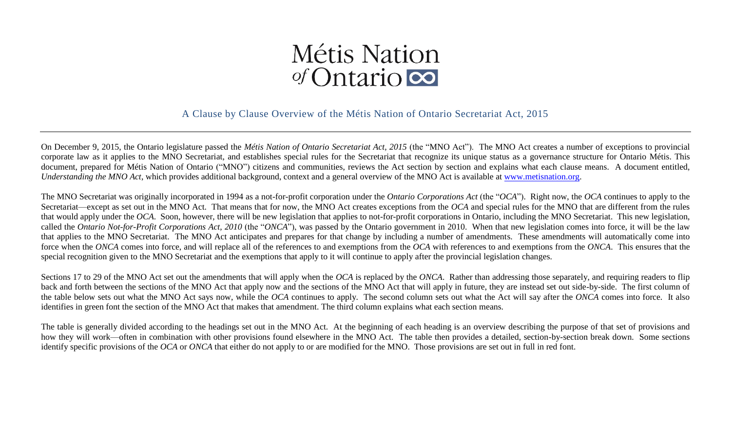# Métis Nation  $\sigma$ Cntario

## A Clause by Clause Overview of the Métis Nation of Ontario Secretariat Act, 2015

On December 9, 2015, the Ontario legislature passed the *Métis Nation of Ontario Secretariat Act, 2015* (the "MNO Act"). The MNO Act creates a number of exceptions to provincial corporate law as it applies to the MNO Secretariat, and establishes special rules for the Secretariat that recognize its unique status as a governance structure for Ontario Métis. This document, prepared for Métis Nation of Ontario ("MNO") citizens and communities, reviews the Act section by section and explains what each clause means. A document entitled, *Understanding the MNO Act*, which provides additional background, context and a general overview of the MNO Act is available at [www.metisnation.org.](http://www.metisnation.org/)

The MNO Secretariat was originally incorporated in 1994 as a not-for-profit corporation under the *Ontario Corporations Act* (the "*OCA*"). Right now, the *OCA* continues to apply to the Secretariat—except as set out in the MNO Act. That means that for now, the MNO Act creates exceptions from the *OCA* and special rules for the MNO that are different from the rules that would apply under the *OCA*. Soon, however, there will be new legislation that applies to not-for-profit corporations in Ontario, including the MNO Secretariat. This new legislation, called the *Ontario Not-for-Profit Corporations Act, 2010* (the "*ONCA*"), was passed by the Ontario government in 2010. When that new legislation comes into force, it will be the law that applies to the MNO Secretariat. The MNO Act anticipates and prepares for that change by including a number of amendments. These amendments will automatically come into force when the *ONCA* comes into force, and will replace all of the references to and exemptions from the *OCA* with references to and exemptions from the *ONCA*. This ensures that the special recognition given to the MNO Secretariat and the exemptions that apply to it will continue to apply after the provincial legislation changes.

Sections 17 to 29 of the MNO Act set out the amendments that will apply when the *OCA* is replaced by the *ONCA*. Rather than addressing those separately, and requiring readers to flip back and forth between the sections of the MNO Act that apply now and the sections of the MNO Act that will apply in future, they are instead set out side-by-side. The first column of the table below sets out what the MNO Act says now, while the *OCA* continues to apply. The second column sets out what the Act will say after the *ONCA* comes into force. It also identifies in green font the section of the MNO Act that makes that amendment. The third column explains what each section means.

The table is generally divided according to the headings set out in the MNO Act. At the beginning of each heading is an overview describing the purpose of that set of provisions and how they will work—often in combination with other provisions found elsewhere in the MNO Act. The table then provides a detailed, section-by-section break down. Some sections identify specific provisions of the *OCA* or *ONCA* that either do not apply to or are modified for the MNO. Those provisions are set out in full in red font.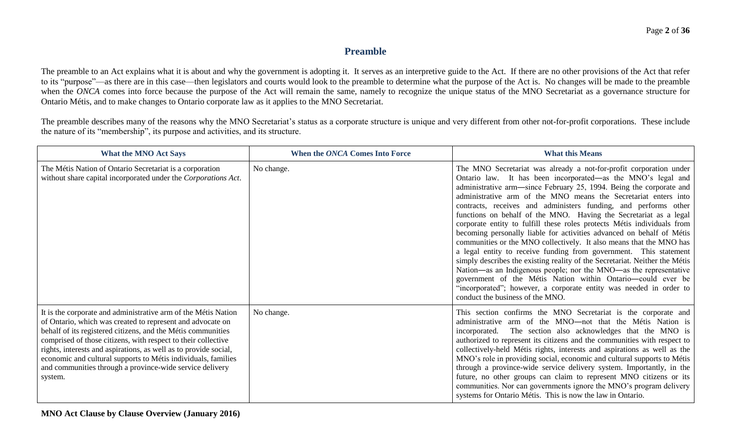#### **Preamble**

The preamble to an Act explains what it is about and why the government is adopting it. It serves as an interpretive guide to the Act. If there are no other provisions of the Act that refer to its "purpose"—as there are in this case—then legislators and courts would look to the preamble to determine what the purpose of the Act is. No changes will be made to the preamble when the *ONCA* comes into force because the purpose of the Act will remain the same, namely to recognize the unique status of the MNO Secretariat as a governance structure for Ontario Métis, and to make changes to Ontario corporate law as it applies to the MNO Secretariat.

The preamble describes many of the reasons why the MNO Secretariat's status as a corporate structure is unique and very different from other not-for-profit corporations. These include the nature of its "membership", its purpose and activities, and its structure.

| <b>What the MNO Act Says</b>                                                                                                                                                                                                                                                                                                                                                                                                                                              | When the ONCA Comes Into Force | <b>What this Means</b>                                                                                                                                                                                                                                                                                                                                                                                                                                                                                                                                                                                                                                                                                                                                                                                                                                                                                                                                                                                                                            |
|---------------------------------------------------------------------------------------------------------------------------------------------------------------------------------------------------------------------------------------------------------------------------------------------------------------------------------------------------------------------------------------------------------------------------------------------------------------------------|--------------------------------|---------------------------------------------------------------------------------------------------------------------------------------------------------------------------------------------------------------------------------------------------------------------------------------------------------------------------------------------------------------------------------------------------------------------------------------------------------------------------------------------------------------------------------------------------------------------------------------------------------------------------------------------------------------------------------------------------------------------------------------------------------------------------------------------------------------------------------------------------------------------------------------------------------------------------------------------------------------------------------------------------------------------------------------------------|
| The Métis Nation of Ontario Secretariat is a corporation<br>without share capital incorporated under the Corporations Act.                                                                                                                                                                                                                                                                                                                                                | No change.                     | The MNO Secretariat was already a not-for-profit corporation under<br>Ontario law. It has been incorporated—as the MNO's legal and<br>administrative arm—since February 25, 1994. Being the corporate and<br>administrative arm of the MNO means the Secretariat enters into<br>contracts, receives and administers funding, and performs other<br>functions on behalf of the MNO. Having the Secretariat as a legal<br>corporate entity to fulfill these roles protects Métis individuals from<br>becoming personally liable for activities advanced on behalf of Métis<br>communities or the MNO collectively. It also means that the MNO has<br>a legal entity to receive funding from government. This statement<br>simply describes the existing reality of the Secretariat. Neither the Métis<br>Nation—as an Indigenous people; nor the MNO—as the representative<br>government of the Métis Nation within Ontario-could ever be<br>"incorporated"; however, a corporate entity was needed in order to<br>conduct the business of the MNO. |
| It is the corporate and administrative arm of the Métis Nation<br>of Ontario, which was created to represent and advocate on<br>behalf of its registered citizens, and the Métis communities<br>comprised of those citizens, with respect to their collective<br>rights, interests and aspirations, as well as to provide social,<br>economic and cultural supports to Métis individuals, families<br>and communities through a province-wide service delivery<br>system. | No change.                     | This section confirms the MNO Secretariat is the corporate and<br>administrative arm of the MNO-not that the Métis Nation is<br>incorporated. The section also acknowledges that the MNO is<br>authorized to represent its citizens and the communities with respect to<br>collectively-held Métis rights, interests and aspirations as well as the<br>MNO's role in providing social, economic and cultural supports to Métis<br>through a province-wide service delivery system. Importantly, in the<br>future, no other groups can claim to represent MNO citizens or its<br>communities. Nor can governments ignore the MNO's program delivery<br>systems for Ontario Métis. This is now the law in Ontario.                                                                                                                                                                                                                                                                                                                                  |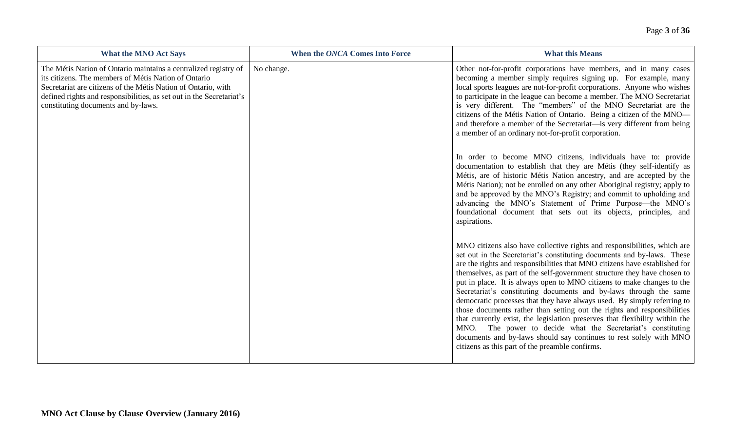| <b>What the MNO Act Says</b>                                                                                                                                                                                                                                                                            | When the ONCA Comes Into Force | <b>What this Means</b>                                                                                                                                                                                                                                                                                                                                                                                                                                                                                                                                                                                                                                                                                                                                                                                                                                                                    |
|---------------------------------------------------------------------------------------------------------------------------------------------------------------------------------------------------------------------------------------------------------------------------------------------------------|--------------------------------|-------------------------------------------------------------------------------------------------------------------------------------------------------------------------------------------------------------------------------------------------------------------------------------------------------------------------------------------------------------------------------------------------------------------------------------------------------------------------------------------------------------------------------------------------------------------------------------------------------------------------------------------------------------------------------------------------------------------------------------------------------------------------------------------------------------------------------------------------------------------------------------------|
| The Métis Nation of Ontario maintains a centralized registry of<br>its citizens. The members of Métis Nation of Ontario<br>Secretariat are citizens of the Métis Nation of Ontario, with<br>defined rights and responsibilities, as set out in the Secretariat's<br>constituting documents and by-laws. | No change.                     | Other not-for-profit corporations have members, and in many cases<br>becoming a member simply requires signing up. For example, many<br>local sports leagues are not-for-profit corporations. Anyone who wishes<br>to participate in the league can become a member. The MNO Secretariat<br>is very different. The "members" of the MNO Secretariat are the<br>citizens of the Métis Nation of Ontario. Being a citizen of the MNO-<br>and therefore a member of the Secretariat—is very different from being<br>a member of an ordinary not-for-profit corporation.                                                                                                                                                                                                                                                                                                                      |
|                                                                                                                                                                                                                                                                                                         |                                | In order to become MNO citizens, individuals have to: provide<br>documentation to establish that they are Métis (they self-identify as<br>Métis, are of historic Métis Nation ancestry, and are accepted by the<br>Métis Nation); not be enrolled on any other Aboriginal registry; apply to<br>and be approved by the MNO's Registry; and commit to upholding and<br>advancing the MNO's Statement of Prime Purpose—the MNO's<br>foundational document that sets out its objects, principles, and<br>aspirations.                                                                                                                                                                                                                                                                                                                                                                        |
|                                                                                                                                                                                                                                                                                                         |                                | MNO citizens also have collective rights and responsibilities, which are<br>set out in the Secretariat's constituting documents and by-laws. These<br>are the rights and responsibilities that MNO citizens have established for<br>themselves, as part of the self-government structure they have chosen to<br>put in place. It is always open to MNO citizens to make changes to the<br>Secretariat's constituting documents and by-laws through the same<br>democratic processes that they have always used. By simply referring to<br>those documents rather than setting out the rights and responsibilities<br>that currently exist, the legislation preserves that flexibility within the<br>MNO. The power to decide what the Secretariat's constituting<br>documents and by-laws should say continues to rest solely with MNO<br>citizens as this part of the preamble confirms. |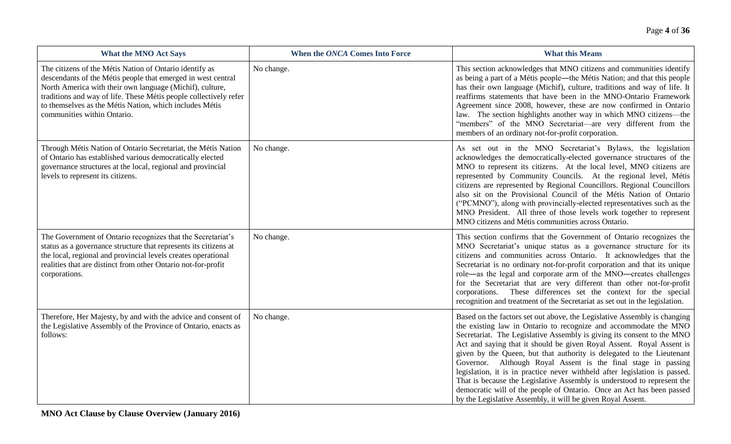| <b>What the MNO Act Says</b>                                                                                                                                                                                                                                                                                                                       | When the ONCA Comes Into Force | <b>What this Means</b>                                                                                                                                                                                                                                                                                                                                                                                                                                                                                                                                                                                                                                                                                                                    |
|----------------------------------------------------------------------------------------------------------------------------------------------------------------------------------------------------------------------------------------------------------------------------------------------------------------------------------------------------|--------------------------------|-------------------------------------------------------------------------------------------------------------------------------------------------------------------------------------------------------------------------------------------------------------------------------------------------------------------------------------------------------------------------------------------------------------------------------------------------------------------------------------------------------------------------------------------------------------------------------------------------------------------------------------------------------------------------------------------------------------------------------------------|
| The citizens of the Métis Nation of Ontario identify as<br>descendants of the Métis people that emerged in west central<br>North America with their own language (Michif), culture,<br>traditions and way of life. These Métis people collectively refer<br>to themselves as the Métis Nation, which includes Métis<br>communities within Ontario. | No change.                     | This section acknowledges that MNO citizens and communities identify<br>as being a part of a Métis people—the Métis Nation; and that this people<br>has their own language (Michif), culture, traditions and way of life. It<br>reaffirms statements that have been in the MNO-Ontario Framework<br>Agreement since 2008, however, these are now confirmed in Ontario<br>law. The section highlights another way in which MNO citizens-the<br>"members" of the MNO Secretariat—are very different from the<br>members of an ordinary not-for-profit corporation.                                                                                                                                                                          |
| Through Métis Nation of Ontario Secretariat, the Métis Nation<br>of Ontario has established various democratically elected<br>governance structures at the local, regional and provincial<br>levels to represent its citizens.                                                                                                                     | No change.                     | As set out in the MNO Secretariat's Bylaws, the legislation<br>acknowledges the democratically-elected governance structures of the<br>MNO to represent its citizens. At the local level, MNO citizens are<br>represented by Community Councils. At the regional level, Métis<br>citizens are represented by Regional Councillors. Regional Councillors<br>also sit on the Provisional Council of the Métis Nation of Ontario<br>("PCMNO"), along with provincially-elected representatives such as the<br>MNO President. All three of those levels work together to represent<br>MNO citizens and Métis communities across Ontario.                                                                                                      |
| The Government of Ontario recognizes that the Secretariat's<br>status as a governance structure that represents its citizens at<br>the local, regional and provincial levels creates operational<br>realities that are distinct from other Ontario not-for-profit<br>corporations.                                                                 | No change.                     | This section confirms that the Government of Ontario recognizes the<br>MNO Secretariat's unique status as a governance structure for its<br>citizens and communities across Ontario. It acknowledges that the<br>Secretariat is no ordinary not-for-profit corporation and that its unique<br>role—as the legal and corporate arm of the MNO—creates challenges<br>for the Secretariat that are very different than other not-for-profit<br>corporations. These differences set the context for the special<br>recognition and treatment of the Secretariat as set out in the legislation.                                                                                                                                                |
| Therefore, Her Majesty, by and with the advice and consent of<br>the Legislative Assembly of the Province of Ontario, enacts as<br>follows:                                                                                                                                                                                                        | No change.                     | Based on the factors set out above, the Legislative Assembly is changing<br>the existing law in Ontario to recognize and accommodate the MNO<br>Secretariat. The Legislative Assembly is giving its consent to the MNO<br>Act and saying that it should be given Royal Assent. Royal Assent is<br>given by the Queen, but that authority is delegated to the Lieutenant<br>Governor. Although Royal Assent is the final stage in passing<br>legislation, it is in practice never withheld after legislation is passed.<br>That is because the Legislative Assembly is understood to represent the<br>democratic will of the people of Ontario. Once an Act has been passed<br>by the Legislative Assembly, it will be given Royal Assent. |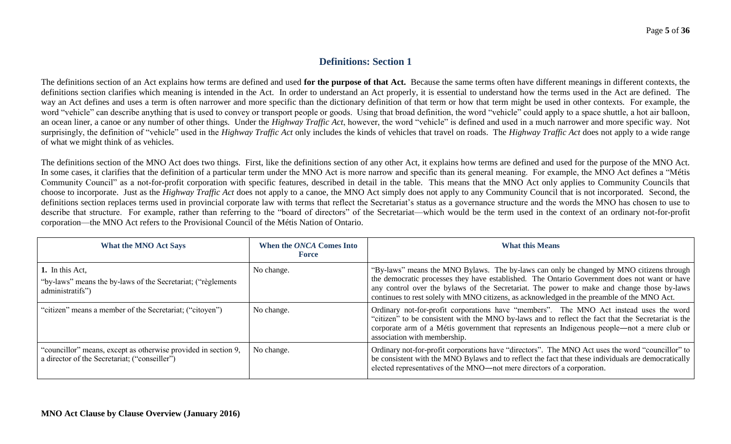## **Definitions: Section 1**

The definitions section of an Act explains how terms are defined and used **for the purpose of that Act.** Because the same terms often have different meanings in different contexts, the definitions section clarifies which meaning is intended in the Act. In order to understand an Act properly, it is essential to understand how the terms used in the Act are defined. The way an Act defines and uses a term is often narrower and more specific than the dictionary definition of that term or how that term might be used in other contexts. For example, the word "vehicle" can describe anything that is used to convey or transport people or goods. Using that broad definition, the word "vehicle" could apply to a space shuttle, a hot air balloon, an ocean liner, a canoe or any number of other things. Under the *Highway Traffic Act*, however, the word "vehicle" is defined and used in a much narrower and more specific way. Not surprisingly, the definition of "vehicle" used in the *Highway Traffic Act* only includes the kinds of vehicles that travel on roads. The *Highway Traffic Act* does not apply to a wide range of what we might think of as vehicles.

The definitions section of the MNO Act does two things. First, like the definitions section of any other Act, it explains how terms are defined and used for the purpose of the MNO Act. In some cases, it clarifies that the definition of a particular term under the MNO Act is more narrow and specific than its general meaning. For example, the MNO Act defines a "Métis Community Council" as a not-for-profit corporation with specific features, described in detail in the table. This means that the MNO Act only applies to Community Councils that choose to incorporate. Just as the *Highway Traffic Act* does not apply to a canoe, the MNO Act simply does not apply to any Community Council that is not incorporated. Second, the definitions section replaces terms used in provincial corporate law with terms that reflect the Secretariat's status as a governance structure and the words the MNO has chosen to use to describe that structure. For example, rather than referring to the "board of directors" of the Secretariat—which would be the term used in the context of an ordinary not-for-profit corporation—the MNO Act refers to the Provisional Council of the Métis Nation of Ontario.

| <b>What the MNO Act Says</b>                                                                                    | When the ONCA Comes Into<br><b>Force</b> | <b>What this Means</b>                                                                                                                                                                                                                                                                                                                                                               |
|-----------------------------------------------------------------------------------------------------------------|------------------------------------------|--------------------------------------------------------------------------------------------------------------------------------------------------------------------------------------------------------------------------------------------------------------------------------------------------------------------------------------------------------------------------------------|
| 1. In this Act,<br>"by-laws" means the by-laws of the Secretariat; ("règlements"<br>administratifs")            | No change.                               | "By-laws" means the MNO Bylaws. The by-laws can only be changed by MNO citizens through<br>the democratic processes they have established. The Ontario Government does not want or have<br>any control over the bylaws of the Secretariat. The power to make and change those by-laws<br>continues to rest solely with MNO citizens, as acknowledged in the preamble of the MNO Act. |
| "citizen" means a member of the Secretariat; ("citoyen")                                                        | No change.                               | Ordinary not-for-profit corporations have "members". The MNO Act instead uses the word<br>"citizen" to be consistent with the MNO by-laws and to reflect the fact that the Secretariat is the<br>corporate arm of a Métis government that represents an Indigenous people—not a mere club or<br>association with membership.                                                         |
| "councillor" means, except as otherwise provided in section 9,<br>a director of the Secretariat; ("conseiller") | No change.                               | Ordinary not-for-profit corporations have "directors". The MNO Act uses the word "councillor" to<br>be consistent with the MNO Bylaws and to reflect the fact that these individuals are democratically<br>elected representatives of the MNO—not mere directors of a corporation.                                                                                                   |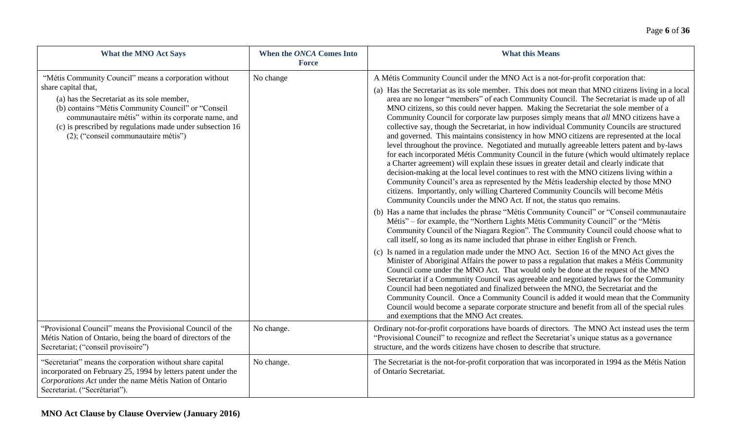| <b>What the MNO Act Says</b>                                                                                                                                                                                                                                                          | When the ONCA Comes Into<br><b>Force</b> | <b>What this Means</b>                                                                                                                                                                                                                                                                                                                                                                                                                                                                                                                                                                                                                                                                                                                                                                                                                                                                                                                                                                                                                                                                                                                                                                                                          |
|---------------------------------------------------------------------------------------------------------------------------------------------------------------------------------------------------------------------------------------------------------------------------------------|------------------------------------------|---------------------------------------------------------------------------------------------------------------------------------------------------------------------------------------------------------------------------------------------------------------------------------------------------------------------------------------------------------------------------------------------------------------------------------------------------------------------------------------------------------------------------------------------------------------------------------------------------------------------------------------------------------------------------------------------------------------------------------------------------------------------------------------------------------------------------------------------------------------------------------------------------------------------------------------------------------------------------------------------------------------------------------------------------------------------------------------------------------------------------------------------------------------------------------------------------------------------------------|
| "Métis Community Council" means a corporation without                                                                                                                                                                                                                                 | No change                                | A Métis Community Council under the MNO Act is a not-for-profit corporation that:                                                                                                                                                                                                                                                                                                                                                                                                                                                                                                                                                                                                                                                                                                                                                                                                                                                                                                                                                                                                                                                                                                                                               |
| share capital that,<br>(a) has the Secretariat as its sole member,<br>(b) contains "Métis Community Council" or "Conseil"<br>communautaire métis" within its corporate name, and<br>(c) is prescribed by regulations made under subsection 16<br>(2); ("conseil communautaire métis") |                                          | (a) Has the Secretariat as its sole member. This does not mean that MNO citizens living in a local<br>area are no longer "members" of each Community Council. The Secretariat is made up of all<br>MNO citizens, so this could never happen. Making the Secretariat the sole member of a<br>Community Council for corporate law purposes simply means that all MNO citizens have a<br>collective say, though the Secretariat, in how individual Community Councils are structured<br>and governed. This maintains consistency in how MNO citizens are represented at the local<br>level throughout the province. Negotiated and mutually agreeable letters patent and by-laws<br>for each incorporated Métis Community Council in the future (which would ultimately replace<br>a Charter agreement) will explain these issues in greater detail and clearly indicate that<br>decision-making at the local level continues to rest with the MNO citizens living within a<br>Community Council's area as represented by the Métis leadership elected by those MNO<br>citizens. Importantly, only willing Chartered Community Councils will become Métis<br>Community Councils under the MNO Act. If not, the status quo remains. |
|                                                                                                                                                                                                                                                                                       |                                          | (b) Has a name that includes the phrase "Métis Community Council" or "Conseil communautaire<br>Métis" – for example, the "Northern Lights Métis Community Council" or the "Métis<br>Community Council of the Niagara Region". The Community Council could choose what to<br>call itself, so long as its name included that phrase in either English or French.                                                                                                                                                                                                                                                                                                                                                                                                                                                                                                                                                                                                                                                                                                                                                                                                                                                                  |
|                                                                                                                                                                                                                                                                                       |                                          | (c) Is named in a regulation made under the MNO Act. Section 16 of the MNO Act gives the<br>Minister of Aboriginal Affairs the power to pass a regulation that makes a Métis Community<br>Council come under the MNO Act. That would only be done at the request of the MNO<br>Secretariat if a Community Council was agreeable and negotiated bylaws for the Community<br>Council had been negotiated and finalized between the MNO, the Secretariat and the<br>Community Council. Once a Community Council is added it would mean that the Community<br>Council would become a separate corporate structure and benefit from all of the special rules<br>and exemptions that the MNO Act creates.                                                                                                                                                                                                                                                                                                                                                                                                                                                                                                                             |
| "Provisional Council" means the Provisional Council of the<br>Métis Nation of Ontario, being the board of directors of the<br>Secretariat; ("conseil provisoire")                                                                                                                     | No change.                               | Ordinary not-for-profit corporations have boards of directors. The MNO Act instead uses the term<br>"Provisional Council" to recognize and reflect the Secretariat's unique status as a governance<br>structure, and the words citizens have chosen to describe that structure.                                                                                                                                                                                                                                                                                                                                                                                                                                                                                                                                                                                                                                                                                                                                                                                                                                                                                                                                                 |
| "Secretariat" means the corporation without share capital<br>incorporated on February 25, 1994 by letters patent under the<br>Corporations Act under the name Métis Nation of Ontario<br>Secretariat. ("Secrétariat").                                                                | No change.                               | The Secretariat is the not-for-profit corporation that was incorporated in 1994 as the Métis Nation<br>of Ontario Secretariat.                                                                                                                                                                                                                                                                                                                                                                                                                                                                                                                                                                                                                                                                                                                                                                                                                                                                                                                                                                                                                                                                                                  |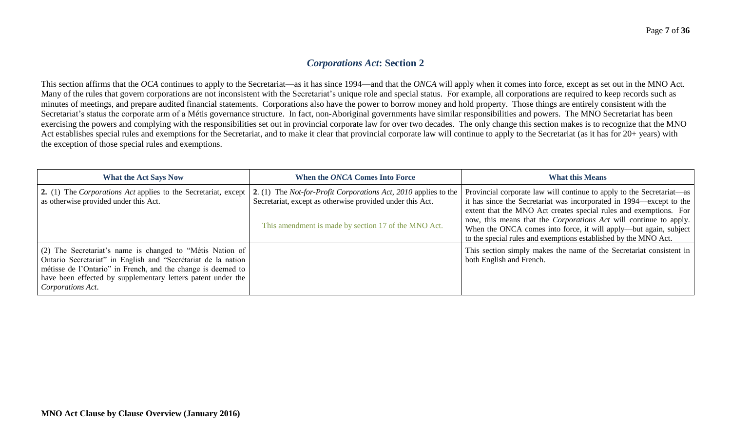## *Corporations Act***: Section 2**

This section affirms that the *OCA* continues to apply to the Secretariat—as it has since 1994—and that the *ONCA* will apply when it comes into force, except as set out in the MNO Act. Many of the rules that govern corporations are not inconsistent with the Secretariat's unique role and special status. For example, all corporations are required to keep records such as minutes of meetings, and prepare audited financial statements. Corporations also have the power to borrow money and hold property. Those things are entirely consistent with the Secretariat's status the corporate arm of a Métis governance structure. In fact, non-Aboriginal governments have similar responsibilities and powers. The MNO Secretariat has been exercising the powers and complying with the responsibilities set out in provincial corporate law for over two decades. The only change this section makes is to recognize that the MNO Act establishes special rules and exemptions for the Secretariat, and to make it clear that provincial corporate law will continue to apply to the Secretariat (as it has for 20+ years) with the exception of those special rules and exemptions.

| <b>What the Act Says Now</b>                                                                                                                                                                                                                                                    | When the ONCA Comes Into Force                                                                                                                                                              | <b>What this Means</b>                                                                                                                                                                                                                                                                                                                                                                                                               |
|---------------------------------------------------------------------------------------------------------------------------------------------------------------------------------------------------------------------------------------------------------------------------------|---------------------------------------------------------------------------------------------------------------------------------------------------------------------------------------------|--------------------------------------------------------------------------------------------------------------------------------------------------------------------------------------------------------------------------------------------------------------------------------------------------------------------------------------------------------------------------------------------------------------------------------------|
| 2. (1) The Corporations Act applies to the Secretariat, except<br>as otherwise provided under this Act.                                                                                                                                                                         | 2. (1) The <i>Not-for-Profit Corporations Act, 2010</i> applies to the<br>Secretariat, except as otherwise provided under this Act.<br>This amendment is made by section 17 of the MNO Act. | Provincial corporate law will continue to apply to the Secretariat—as<br>it has since the Secretariat was incorporated in 1994—except to the<br>extent that the MNO Act creates special rules and exemptions. For<br>now, this means that the <i>Corporations Act</i> will continue to apply.<br>When the ONCA comes into force, it will apply—but again, subject<br>to the special rules and exemptions established by the MNO Act. |
| (2) The Secretariat's name is changed to "Métis Nation of<br>Ontario Secretariat" in English and "Secrétariat de la nation<br>métisse de l'Ontario" in French, and the change is deemed to<br>have been effected by supplementary letters patent under the<br>Corporations Act. |                                                                                                                                                                                             | This section simply makes the name of the Secretariat consistent in<br>both English and French.                                                                                                                                                                                                                                                                                                                                      |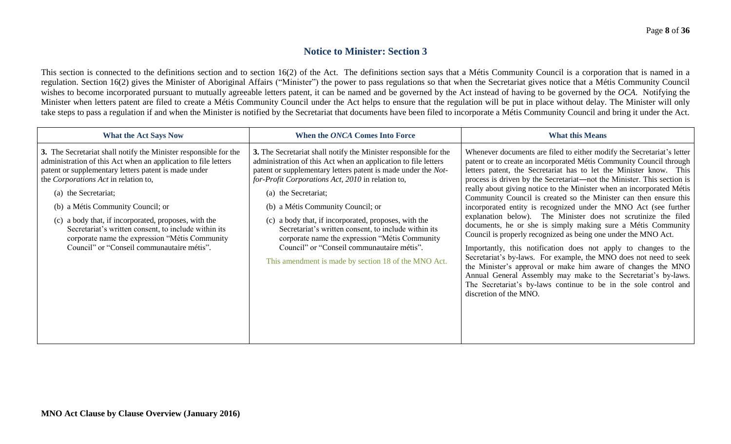#### **Notice to Minister: Section 3**

This section is connected to the definitions section and to section 16(2) of the Act. The definitions section says that a Métis Community Council is a corporation that is named in a regulation. Section 16(2) gives the Minister of Aboriginal Affairs ("Minister") the power to pass regulations so that when the Secretariat gives notice that a Métis Community Council wishes to become incorporated pursuant to mutually agreeable letters patent, it can be named and be governed by the Act instead of having to be governed by the *OCA*. Notifying the Minister when letters patent are filed to create a Métis Community Council under the Act helps to ensure that the regulation will be put in place without delay. The Minister will only take steps to pass a regulation if and when the Minister is notified by the Secretariat that documents have been filed to incorporate a Métis Community Council and bring it under the Act.

| <b>What the Act Says Now</b>                                                                                                                                                                                                                                                                                                                                                                                                                                                                                     | When the ONCA Comes Into Force                                                                                                                                                                                                                                                                                                                                                                                                                                                                                                                                                                | <b>What this Means</b>                                                                                                                                                                                                                                                                                                                                                                                                                                                                                                                                                                                                                                                                                                                                                                                                                                                                                                                                                                                                                                                                      |
|------------------------------------------------------------------------------------------------------------------------------------------------------------------------------------------------------------------------------------------------------------------------------------------------------------------------------------------------------------------------------------------------------------------------------------------------------------------------------------------------------------------|-----------------------------------------------------------------------------------------------------------------------------------------------------------------------------------------------------------------------------------------------------------------------------------------------------------------------------------------------------------------------------------------------------------------------------------------------------------------------------------------------------------------------------------------------------------------------------------------------|---------------------------------------------------------------------------------------------------------------------------------------------------------------------------------------------------------------------------------------------------------------------------------------------------------------------------------------------------------------------------------------------------------------------------------------------------------------------------------------------------------------------------------------------------------------------------------------------------------------------------------------------------------------------------------------------------------------------------------------------------------------------------------------------------------------------------------------------------------------------------------------------------------------------------------------------------------------------------------------------------------------------------------------------------------------------------------------------|
| 3. The Secretariat shall notify the Minister responsible for the<br>administration of this Act when an application to file letters<br>patent or supplementary letters patent is made under<br>the Corporations Act in relation to,<br>(a) the Secretariat;<br>(b) a Métis Community Council; or<br>(c) a body that, if incorporated, proposes, with the<br>Secretariat's written consent, to include within its<br>corporate name the expression "Métis Community"<br>Council" or "Conseil communautaire métis". | 3. The Secretariat shall notify the Minister responsible for the<br>administration of this Act when an application to file letters<br>patent or supplementary letters patent is made under the Not-<br>for-Profit Corporations Act, 2010 in relation to,<br>(a) the Secretariat;<br>(b) a Métis Community Council; or<br>(c) a body that, if incorporated, proposes, with the<br>Secretariat's written consent, to include within its<br>corporate name the expression "Métis Community<br>Council" or "Conseil communautaire métis".<br>This amendment is made by section 18 of the MNO Act. | Whenever documents are filed to either modify the Secretariat's letter<br>patent or to create an incorporated Métis Community Council through<br>letters patent, the Secretariat has to let the Minister know. This<br>process is driven by the Secretariat—not the Minister. This section is<br>really about giving notice to the Minister when an incorporated Métis<br>Community Council is created so the Minister can then ensure this<br>incorporated entity is recognized under the MNO Act (see further<br>explanation below). The Minister does not scrutinize the filed<br>documents, he or she is simply making sure a Métis Community<br>Council is properly recognized as being one under the MNO Act.<br>Importantly, this notification does not apply to changes to the<br>Secretariat's by-laws. For example, the MNO does not need to seek<br>the Minister's approval or make him aware of changes the MNO<br>Annual General Assembly may make to the Secretariat's by-laws.<br>The Secretariat's by-laws continue to be in the sole control and<br>discretion of the MNO. |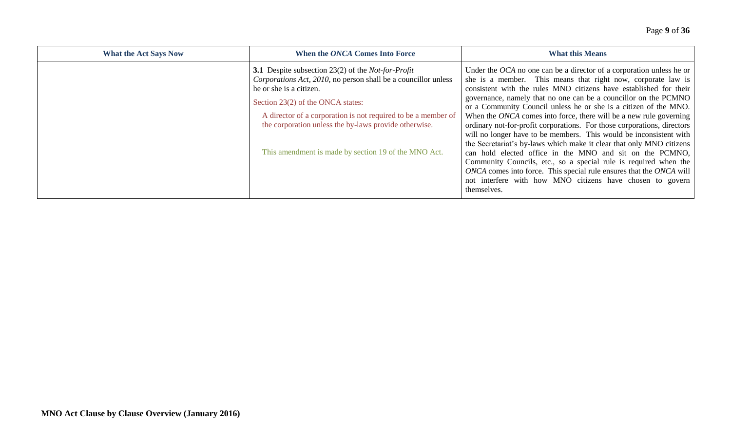| <b>What the Act Says Now</b> | When the ONCA Comes Into Force                                                            | <b>What this Means</b>                                                                                                                     |
|------------------------------|-------------------------------------------------------------------------------------------|--------------------------------------------------------------------------------------------------------------------------------------------|
|                              | <b>3.1</b> Despite subsection 23(2) of the <i>Not-for-Profit</i>                          | Under the $OCA$ no one can be a director of a corporation unless he or                                                                     |
|                              | Corporations Act, 2010, no person shall be a councillor unless<br>he or she is a citizen. | she is a member. This means that right now, corporate law is<br>consistent with the rules MNO citizens have established for their          |
|                              | Section 23(2) of the ONCA states:                                                         | governance, namely that no one can be a councillor on the PCMNO                                                                            |
|                              | A director of a corporation is not required to be a member of                             | or a Community Council unless he or she is a citizen of the MNO.<br>When the ONCA comes into force, there will be a new rule governing     |
|                              | the corporation unless the by-laws provide otherwise.                                     | ordinary not-for-profit corporations. For those corporations, directors                                                                    |
|                              |                                                                                           | will no longer have to be members. This would be inconsistent with<br>the Secretariat's by-laws which make it clear that only MNO citizens |
|                              | This amendment is made by section 19 of the MNO Act.                                      | can hold elected office in the MNO and sit on the PCMNO,                                                                                   |
|                              |                                                                                           | Community Councils, etc., so a special rule is required when the<br>ONCA comes into force. This special rule ensures that the ONCA will    |
|                              |                                                                                           | not interfere with how MNO citizens have chosen to govern<br>themselves.                                                                   |
|                              |                                                                                           |                                                                                                                                            |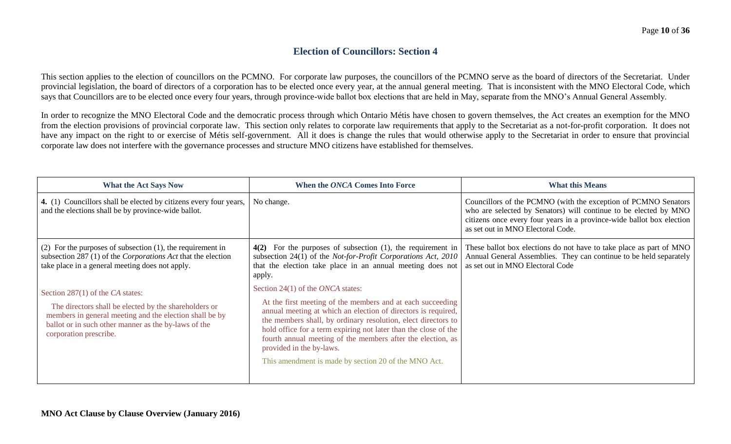## **Election of Councillors: Section 4**

This section applies to the election of councillors on the PCMNO. For corporate law purposes, the councillors of the PCMNO serve as the board of directors of the Secretariat. Under provincial legislation, the board of directors of a corporation has to be elected once every year, at the annual general meeting. That is inconsistent with the MNO Electoral Code, which says that Councillors are to be elected once every four years, through province-wide ballot box elections that are held in May, separate from the MNO's Annual General Assembly.

In order to recognize the MNO Electoral Code and the democratic process through which Ontario Métis have chosen to govern themselves, the Act creates an exemption for the MNO from the election provisions of provincial corporate law. This section only relates to corporate law requirements that apply to the Secretariat as a not-for-profit corporation. It does not have any impact on the right to or exercise of Métis self-government. All it does is change the rules that would otherwise apply to the Secretariat in order to ensure that provincial corporate law does not interfere with the governance processes and structure MNO citizens have established for themselves.

| <b>What the Act Says Now</b>                                                                                                                                                                                                           | When the ONCA Comes Into Force                                                                                                                                                                                                                                                                                                                                                                                                                                 | <b>What this Means</b>                                                                                                                                                                                                                           |
|----------------------------------------------------------------------------------------------------------------------------------------------------------------------------------------------------------------------------------------|----------------------------------------------------------------------------------------------------------------------------------------------------------------------------------------------------------------------------------------------------------------------------------------------------------------------------------------------------------------------------------------------------------------------------------------------------------------|--------------------------------------------------------------------------------------------------------------------------------------------------------------------------------------------------------------------------------------------------|
| 4. (1) Councillors shall be elected by citizens every four years,<br>and the elections shall be by province-wide ballot.                                                                                                               | No change.                                                                                                                                                                                                                                                                                                                                                                                                                                                     | Councillors of the PCMNO (with the exception of PCMNO Senators<br>who are selected by Senators) will continue to be elected by MNO<br>citizens once every four years in a province-wide ballot box election<br>as set out in MNO Electoral Code. |
| $(2)$ For the purposes of subsection $(1)$ , the requirement in<br>subsection 287 (1) of the <i>Corporations Act</i> that the election<br>take place in a general meeting does not apply.                                              | $4(2)$ For the purposes of subsection (1), the requirement in<br>subsection 24(1) of the Not-for-Profit Corporations Act, 2010<br>that the election take place in an annual meeting does not<br>apply.                                                                                                                                                                                                                                                         | These ballot box elections do not have to take place as part of MNO<br>Annual General Assemblies. They can continue to be held separately<br>as set out in MNO Electoral Code                                                                    |
| Section 287(1) of the CA states:<br>The directors shall be elected by the shareholders or<br>members in general meeting and the election shall be by<br>ballot or in such other manner as the by-laws of the<br>corporation prescribe. | Section 24(1) of the <i>ONCA</i> states:<br>At the first meeting of the members and at each succeeding<br>annual meeting at which an election of directors is required,<br>the members shall, by ordinary resolution, elect directors to<br>hold office for a term expiring not later than the close of the<br>fourth annual meeting of the members after the election, as<br>provided in the by-laws.<br>This amendment is made by section 20 of the MNO Act. |                                                                                                                                                                                                                                                  |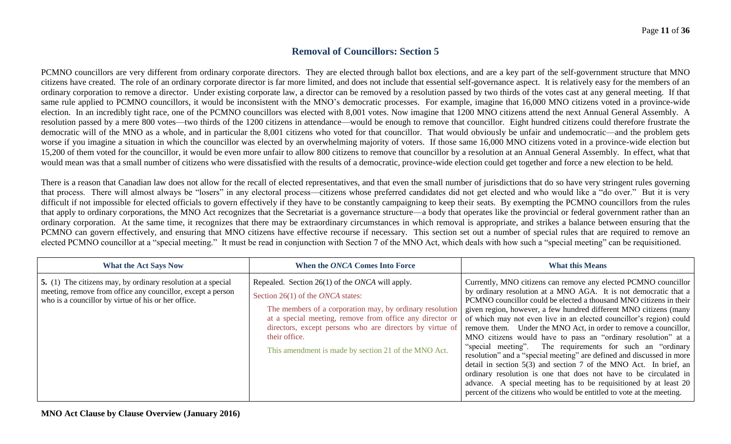## **Removal of Councillors: Section 5**

PCMNO councillors are very different from ordinary corporate directors. They are elected through ballot box elections, and are a key part of the self-government structure that MNO citizens have created. The role of an ordinary corporate director is far more limited, and does not include that essential self-governance aspect. It is relatively easy for the members of an ordinary corporation to remove a director. Under existing corporate law, a director can be removed by a resolution passed by two thirds of the votes cast at any general meeting. If that same rule applied to PCMNO councillors, it would be inconsistent with the MNO's democratic processes. For example, imagine that 16,000 MNO citizens voted in a province-wide election. In an incredibly tight race, one of the PCMNO councillors was elected with 8,001 votes. Now imagine that 1200 MNO citizens attend the next Annual General Assembly. A resolution passed by a mere 800 votes—two thirds of the 1200 citizens in attendance—would be enough to remove that councillor. Eight hundred citizens could therefore frustrate the democratic will of the MNO as a whole, and in particular the 8,001 citizens who voted for that councillor. That would obviously be unfair and undemocratic—and the problem gets worse if you imagine a situation in which the councillor was elected by an overwhelming majority of voters. If those same 16,000 MNO citizens voted in a province-wide election but 15,200 of them voted for the councillor, it would be even more unfair to allow 800 citizens to remove that councillor by a resolution at an Annual General Assembly. In effect, what that would mean was that a small number of citizens who were dissatisfied with the results of a democratic, province-wide election could get together and force a new election to be held.

There is a reason that Canadian law does not allow for the recall of elected representatives, and that even the small number of jurisdictions that do so have very stringent rules governing that process. There will almost always be "losers" in any electoral process—citizens whose preferred candidates did not get elected and who would like a "do over." But it is very difficult if not impossible for elected officials to govern effectively if they have to be constantly campaigning to keep their seats. By exempting the PCMNO councillors from the rules that apply to ordinary corporations, the MNO Act recognizes that the Secretariat is a governance structure—a body that operates like the provincial or federal government rather than an ordinary corporation. At the same time, it recognizes that there may be extraordinary circumstances in which removal is appropriate, and strikes a balance between ensuring that the PCMNO can govern effectively, and ensuring that MNO citizens have effective recourse if necessary. This section set out a number of special rules that are required to remove an elected PCMNO councillor at a "special meeting." It must be read in conjunction with Section 7 of the MNO Act, which deals with how such a "special meeting" can be requisitioned.

| <b>What the Act Says Now</b>                                                                                                                                                       | When the ONCA Comes Into Force                                                                                                                                                                                                                                                                                                                                    | <b>What this Means</b>                                                                                                                                                                                                                                                                                                                                                                                                                                                                                                                                                                                                                                                                                                                                                                                                                                                                                                      |
|------------------------------------------------------------------------------------------------------------------------------------------------------------------------------------|-------------------------------------------------------------------------------------------------------------------------------------------------------------------------------------------------------------------------------------------------------------------------------------------------------------------------------------------------------------------|-----------------------------------------------------------------------------------------------------------------------------------------------------------------------------------------------------------------------------------------------------------------------------------------------------------------------------------------------------------------------------------------------------------------------------------------------------------------------------------------------------------------------------------------------------------------------------------------------------------------------------------------------------------------------------------------------------------------------------------------------------------------------------------------------------------------------------------------------------------------------------------------------------------------------------|
| 5. (1) The citizens may, by ordinary resolution at a special<br>meeting, remove from office any councillor, except a person<br>who is a councillor by virtue of his or her office. | Repealed. Section $26(1)$ of the <i>ONCA</i> will apply.<br>Section 26(1) of the <i>ONCA</i> states:<br>The members of a corporation may, by ordinary resolution<br>at a special meeting, remove from office any director or<br>directors, except persons who are directors by virtue of<br>their office.<br>This amendment is made by section 21 of the MNO Act. | Currently, MNO citizens can remove any elected PCMNO councillor<br>by ordinary resolution at a MNO AGA. It is not democratic that a<br>PCMNO councillor could be elected a thousand MNO citizens in their<br>given region, however, a few hundred different MNO citizens (many<br>of which may not even live in an elected councillor's region) could<br>remove them. Under the MNO Act, in order to remove a councillor,<br>MNO citizens would have to pass an "ordinary resolution" at a<br>"special meeting". The requirements for such an "ordinary"<br>resolution" and a "special meeting" are defined and discussed in more<br>detail in section $5(3)$ and section 7 of the MNO Act. In brief, an<br>ordinary resolution is one that does not have to be circulated in<br>advance. A special meeting has to be requisitioned by at least 20<br>percent of the citizens who would be entitled to vote at the meeting. |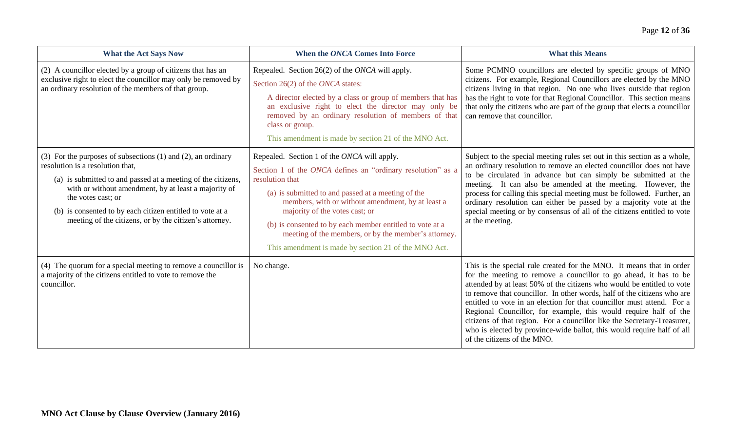| <b>What the Act Says Now</b>                                                                                                                                                                                                                                                                                                                                               | When the ONCA Comes Into Force                                                                                                                                                                                                                                                                                                                                                                                                                         | <b>What this Means</b>                                                                                                                                                                                                                                                                                                                                                                                                                                                                                                                                                                                                          |
|----------------------------------------------------------------------------------------------------------------------------------------------------------------------------------------------------------------------------------------------------------------------------------------------------------------------------------------------------------------------------|--------------------------------------------------------------------------------------------------------------------------------------------------------------------------------------------------------------------------------------------------------------------------------------------------------------------------------------------------------------------------------------------------------------------------------------------------------|---------------------------------------------------------------------------------------------------------------------------------------------------------------------------------------------------------------------------------------------------------------------------------------------------------------------------------------------------------------------------------------------------------------------------------------------------------------------------------------------------------------------------------------------------------------------------------------------------------------------------------|
| (2) A councillor elected by a group of citizens that has an<br>exclusive right to elect the councillor may only be removed by<br>an ordinary resolution of the members of that group.                                                                                                                                                                                      | Repealed. Section 26(2) of the ONCA will apply.<br>Section 26(2) of the ONCA states:<br>A director elected by a class or group of members that has<br>an exclusive right to elect the director may only be<br>removed by an ordinary resolution of members of that<br>class or group.<br>This amendment is made by section 21 of the MNO Act.                                                                                                          | Some PCMNO councillors are elected by specific groups of MNO<br>citizens. For example, Regional Councillors are elected by the MNO<br>citizens living in that region. No one who lives outside that region<br>has the right to vote for that Regional Councillor. This section means<br>that only the citizens who are part of the group that elects a councillor<br>can remove that councillor.                                                                                                                                                                                                                                |
| (3) For the purposes of subsections $(1)$ and $(2)$ , an ordinary<br>resolution is a resolution that,<br>(a) is submitted to and passed at a meeting of the citizens,<br>with or without amendment, by at least a majority of<br>the votes cast; or<br>(b) is consented to by each citizen entitled to vote at a<br>meeting of the citizens, or by the citizen's attorney. | Repealed. Section 1 of the ONCA will apply.<br>Section 1 of the ONCA defines an "ordinary resolution" as a<br>resolution that<br>(a) is submitted to and passed at a meeting of the<br>members, with or without amendment, by at least a<br>majority of the votes cast; or<br>(b) is consented to by each member entitled to vote at a<br>meeting of the members, or by the member's attorney.<br>This amendment is made by section 21 of the MNO Act. | Subject to the special meeting rules set out in this section as a whole,<br>an ordinary resolution to remove an elected councillor does not have<br>to be circulated in advance but can simply be submitted at the<br>meeting. It can also be amended at the meeting. However, the<br>process for calling this special meeting must be followed. Further, an<br>ordinary resolution can either be passed by a majority vote at the<br>special meeting or by consensus of all of the citizens entitled to vote<br>at the meeting.                                                                                                |
| (4) The quorum for a special meeting to remove a council or is<br>a majority of the citizens entitled to vote to remove the<br>councillor.                                                                                                                                                                                                                                 | No change.                                                                                                                                                                                                                                                                                                                                                                                                                                             | This is the special rule created for the MNO. It means that in order<br>for the meeting to remove a councillor to go ahead, it has to be<br>attended by at least 50% of the citizens who would be entitled to vote<br>to remove that councillor. In other words, half of the citizens who are<br>entitled to vote in an election for that councillor must attend. For a<br>Regional Councillor, for example, this would require half of the<br>citizens of that region. For a councillor like the Secretary-Treasurer,<br>who is elected by province-wide ballot, this would require half of all<br>of the citizens of the MNO. |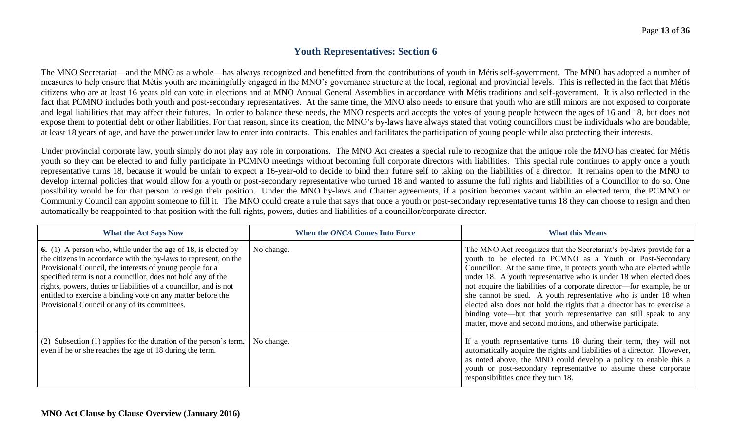## **Youth Representatives: Section 6**

The MNO Secretariat—and the MNO as a whole—has always recognized and benefitted from the contributions of youth in Métis self-government. The MNO has adopted a number of measures to help ensure that Métis youth are meaningfully engaged in the MNO's governance structure at the local, regional and provincial levels. This is reflected in the fact that Métis citizens who are at least 16 years old can vote in elections and at MNO Annual General Assemblies in accordance with Métis traditions and self-government. It is also reflected in the fact that PCMNO includes both youth and post-secondary representatives. At the same time, the MNO also needs to ensure that youth who are still minors are not exposed to corporate and legal liabilities that may affect their futures. In order to balance these needs, the MNO respects and accepts the votes of young people between the ages of 16 and 18, but does not expose them to potential debt or other liabilities. For that reason, since its creation, the MNO's by-laws have always stated that voting councillors must be individuals who are bondable, at least 18 years of age, and have the power under law to enter into contracts. This enables and facilitates the participation of young people while also protecting their interests.

Under provincial corporate law, youth simply do not play any role in corporations. The MNO Act creates a special rule to recognize that the unique role the MNO has created for Métis youth so they can be elected to and fully participate in PCMNO meetings without becoming full corporate directors with liabilities. This special rule continues to apply once a youth representative turns 18, because it would be unfair to expect a 16-year-old to decide to bind their future self to taking on the liabilities of a director. It remains open to the MNO to develop internal policies that would allow for a youth or post-secondary representative who turned 18 and wanted to assume the full rights and liabilities of a Councillor to do so. One possibility would be for that person to resign their position. Under the MNO by-laws and Charter agreements, if a position becomes vacant within an elected term, the PCMNO or Community Council can appoint someone to fill it. The MNO could create a rule that says that once a youth or post-secondary representative turns 18 they can choose to resign and then automatically be reappointed to that position with the full rights, powers, duties and liabilities of a councillor/corporate director.

| <b>What the Act Says Now</b>                                                                                                                                                                                                                                                                                                                                                                                                                               | When the ONCA Comes Into Force | <b>What this Means</b>                                                                                                                                                                                                                                                                                                                                                                                                                                                                                                                                                                                                                      |
|------------------------------------------------------------------------------------------------------------------------------------------------------------------------------------------------------------------------------------------------------------------------------------------------------------------------------------------------------------------------------------------------------------------------------------------------------------|--------------------------------|---------------------------------------------------------------------------------------------------------------------------------------------------------------------------------------------------------------------------------------------------------------------------------------------------------------------------------------------------------------------------------------------------------------------------------------------------------------------------------------------------------------------------------------------------------------------------------------------------------------------------------------------|
| <b>6.</b> (1) A person who, while under the age of 18, is elected by<br>the citizens in accordance with the by-laws to represent, on the<br>Provisional Council, the interests of young people for a<br>specified term is not a councillor, does not hold any of the<br>rights, powers, duties or liabilities of a councillor, and is not<br>entitled to exercise a binding vote on any matter before the<br>Provisional Council or any of its committees. | No change.                     | The MNO Act recognizes that the Secretariat's by-laws provide for a<br>youth to be elected to PCMNO as a Youth or Post-Secondary<br>Councillor. At the same time, it protects youth who are elected while<br>under 18. A youth representative who is under 18 when elected does<br>not acquire the liabilities of a corporate director—for example, he or<br>she cannot be sued. A youth representative who is under 18 when<br>elected also does not hold the rights that a director has to exercise a<br>binding vote—but that youth representative can still speak to any<br>matter, move and second motions, and otherwise participate. |
| (2) Subsection (1) applies for the duration of the person's term,<br>even if he or she reaches the age of 18 during the term.                                                                                                                                                                                                                                                                                                                              | No change.                     | If a youth representative turns 18 during their term, they will not<br>automatically acquire the rights and liabilities of a director. However,<br>as noted above, the MNO could develop a policy to enable this a<br>youth or post-secondary representative to assume these corporate<br>responsibilities once they turn 18.                                                                                                                                                                                                                                                                                                               |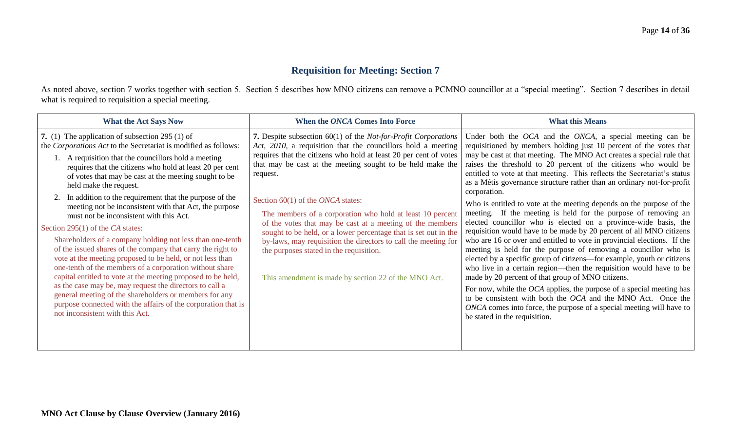## **Requisition for Meeting: Section 7**

As noted above, section 7 works together with section 5. Section 5 describes how MNO citizens can remove a PCMNO councillor at a "special meeting". Section 7 describes in detail what is required to requisition a special meeting.

| <b>What the Act Says Now</b>                                                                                                                                                                                                                                                                                                                                                                                                                                                                                                                                                                                                                                                                                                                                                                                                                                                                                                                                                                                                                                            | When the ONCA Comes Into Force                                                                                                                                                                                                                                                                                                                                                                                                                                                                                                                                                                                                                                                                       | <b>What this Means</b>                                                                                                                                                                                                                                                                                                                                                                                                                                                                                                                                                                                                                                                                                                                                                                                                                                                                                                                                                                                                                                                                                                                                                                                                                                                                                                                                         |
|-------------------------------------------------------------------------------------------------------------------------------------------------------------------------------------------------------------------------------------------------------------------------------------------------------------------------------------------------------------------------------------------------------------------------------------------------------------------------------------------------------------------------------------------------------------------------------------------------------------------------------------------------------------------------------------------------------------------------------------------------------------------------------------------------------------------------------------------------------------------------------------------------------------------------------------------------------------------------------------------------------------------------------------------------------------------------|------------------------------------------------------------------------------------------------------------------------------------------------------------------------------------------------------------------------------------------------------------------------------------------------------------------------------------------------------------------------------------------------------------------------------------------------------------------------------------------------------------------------------------------------------------------------------------------------------------------------------------------------------------------------------------------------------|----------------------------------------------------------------------------------------------------------------------------------------------------------------------------------------------------------------------------------------------------------------------------------------------------------------------------------------------------------------------------------------------------------------------------------------------------------------------------------------------------------------------------------------------------------------------------------------------------------------------------------------------------------------------------------------------------------------------------------------------------------------------------------------------------------------------------------------------------------------------------------------------------------------------------------------------------------------------------------------------------------------------------------------------------------------------------------------------------------------------------------------------------------------------------------------------------------------------------------------------------------------------------------------------------------------------------------------------------------------|
| 7. (1) The application of subsection $295(1)$ of<br>the Corporations Act to the Secretariat is modified as follows:<br>A requisition that the councillors hold a meeting<br>requires that the citizens who hold at least 20 per cent<br>of votes that may be cast at the meeting sought to be<br>held make the request.<br>In addition to the requirement that the purpose of the<br>meeting not be inconsistent with that Act, the purpose<br>must not be inconsistent with this Act.<br>Section 295(1) of the CA states:<br>Shareholders of a company holding not less than one-tenth<br>of the issued shares of the company that carry the right to<br>vote at the meeting proposed to be held, or not less than<br>one-tenth of the members of a corporation without share<br>capital entitled to vote at the meeting proposed to be held,<br>as the case may be, may request the directors to call a<br>general meeting of the shareholders or members for any<br>purpose connected with the affairs of the corporation that is<br>not inconsistent with this Act. | 7. Despite subsection 60(1) of the <i>Not-for-Profit Corporations</i><br>Act, 2010, a requisition that the councillors hold a meeting<br>requires that the citizens who hold at least 20 per cent of votes<br>that may be cast at the meeting sought to be held make the<br>request.<br>Section $60(1)$ of the <i>ONCA</i> states:<br>The members of a corporation who hold at least 10 percent<br>of the votes that may be cast at a meeting of the members<br>sought to be held, or a lower percentage that is set out in the<br>by-laws, may requisition the directors to call the meeting for<br>the purposes stated in the requisition.<br>This amendment is made by section 22 of the MNO Act. | Under both the <i>OCA</i> and the <i>ONCA</i> , a special meeting can be<br>requisitioned by members holding just 10 percent of the votes that<br>may be cast at that meeting. The MNO Act creates a special rule that<br>raises the threshold to 20 percent of the citizens who would be<br>entitled to vote at that meeting. This reflects the Secretariat's status<br>as a Métis governance structure rather than an ordinary not-for-profit<br>corporation.<br>Who is entitled to vote at the meeting depends on the purpose of the<br>meeting. If the meeting is held for the purpose of removing an<br>elected councillor who is elected on a province-wide basis, the<br>requisition would have to be made by 20 percent of all MNO citizens<br>who are 16 or over and entitled to vote in provincial elections. If the<br>meeting is held for the purpose of removing a councillor who is<br>elected by a specific group of citizens-for example, youth or citizens<br>who live in a certain region—then the requisition would have to be<br>made by 20 percent of that group of MNO citizens.<br>For now, while the <i>OCA</i> applies, the purpose of a special meeting has<br>to be consistent with both the OCA and the MNO Act. Once the<br>ONCA comes into force, the purpose of a special meeting will have to<br>be stated in the requisition. |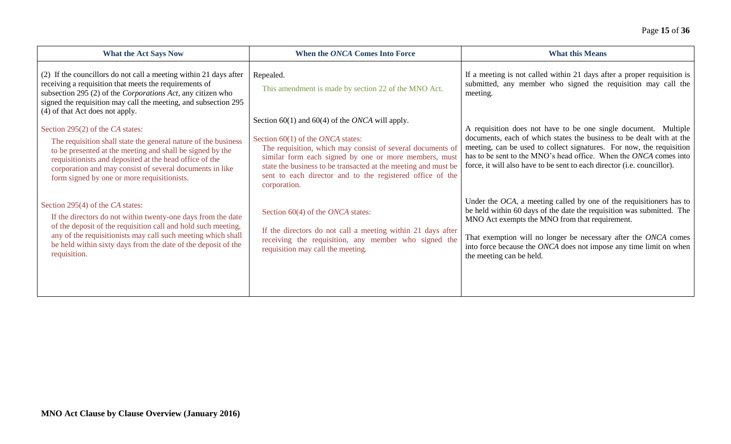| <b>What the Act Says Now</b>                                                                                                                                                                                                                                                                                                                                             | When the ONCA Comes Into Force                                                                                                                                                                                                                                                                                                                                           | <b>What this Means</b>                                                                                                                                                                                                                                                                                                                                                 |
|--------------------------------------------------------------------------------------------------------------------------------------------------------------------------------------------------------------------------------------------------------------------------------------------------------------------------------------------------------------------------|--------------------------------------------------------------------------------------------------------------------------------------------------------------------------------------------------------------------------------------------------------------------------------------------------------------------------------------------------------------------------|------------------------------------------------------------------------------------------------------------------------------------------------------------------------------------------------------------------------------------------------------------------------------------------------------------------------------------------------------------------------|
| (2) If the councillors do not call a meeting within 21 days after<br>receiving a requisition that meets the requirements of<br>subsection 295 (2) of the Corporations Act, any citizen who<br>signed the requisition may call the meeting, and subsection 295                                                                                                            | Repealed.<br>This amendment is made by section 22 of the MNO Act.                                                                                                                                                                                                                                                                                                        | If a meeting is not called within 21 days after a proper requisition is<br>submitted, any member who signed the requisition may call the<br>meeting.                                                                                                                                                                                                                   |
| (4) of that Act does not apply.<br>Section 295(2) of the CA states:<br>The requisition shall state the general nature of the business<br>to be presented at the meeting and shall be signed by the<br>requisitionists and deposited at the head office of the<br>corporation and may consist of several documents in like<br>form signed by one or more requisitionists. | Section 60(1) and 60(4) of the <i>ONCA</i> will apply.<br>Section 60(1) of the <i>ONCA</i> states:<br>The requisition, which may consist of several documents of<br>similar form each signed by one or more members, must<br>state the business to be transacted at the meeting and must be<br>sent to each director and to the registered office of the<br>corporation. | A requisition does not have to be one single document. Multiple<br>documents, each of which states the business to be dealt with at the<br>meeting, can be used to collect signatures. For now, the requisition<br>has to be sent to the MNO's head office. When the ONCA comes into<br>force, it will also have to be sent to each director (i.e. councillor).        |
| Section 295(4) of the CA states:<br>If the directors do not within twenty-one days from the date<br>of the deposit of the requisition call and hold such meeting,<br>any of the requisitionists may call such meeting which shall<br>be held within sixty days from the date of the deposit of the<br>requisition.                                                       | Section 60(4) of the <i>ONCA</i> states:<br>If the directors do not call a meeting within 21 days after<br>receiving the requisition, any member who signed the<br>requisition may call the meeting.                                                                                                                                                                     | Under the $OCA$ , a meeting called by one of the requisitioners has to<br>be held within 60 days of the date the requisition was submitted. The<br>MNO Act exempts the MNO from that requirement.<br>That exemption will no longer be necessary after the ONCA comes<br>into force because the ONCA does not impose any time limit on when<br>the meeting can be held. |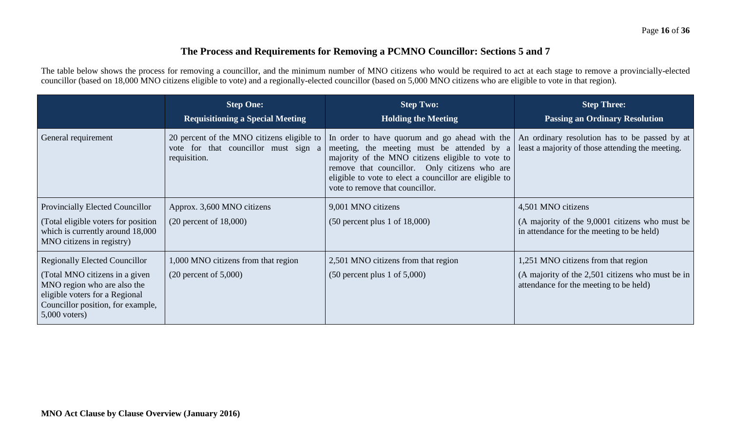## **The Process and Requirements for Removing a PCMNO Councillor: Sections 5 and 7**

The table below shows the process for removing a councillor, and the minimum number of MNO citizens who would be required to act at each stage to remove a provincially-elected councillor (based on 18,000 MNO citizens eligible to vote) and a regionally-elected councillor (based on 5,000 MNO citizens who are eligible to vote in that region).

|                                                                                                                                                         | <b>Step One:</b><br><b>Requisitioning a Special Meeting</b> | <b>Step Two:</b><br><b>Holding the Meeting</b>                                                                                                                                                                                                                                                                                             | <b>Step Three:</b><br><b>Passing an Ordinary Resolution</b>                                       |
|---------------------------------------------------------------------------------------------------------------------------------------------------------|-------------------------------------------------------------|--------------------------------------------------------------------------------------------------------------------------------------------------------------------------------------------------------------------------------------------------------------------------------------------------------------------------------------------|---------------------------------------------------------------------------------------------------|
| General requirement                                                                                                                                     | vote for that councillor must sign a<br>requisition.        | 20 percent of the MNO citizens eligible to   In order to have quorum and go ahead with the<br>meeting, the meeting must be attended by a<br>majority of the MNO citizens eligible to vote to<br>remove that councillor. Only citizens who are<br>eligible to vote to elect a councillor are eligible to<br>vote to remove that councillor. | An ordinary resolution has to be passed by at<br>least a majority of those attending the meeting. |
| Provincially Elected Councillor                                                                                                                         | Approx. 3,600 MNO citizens                                  | 9,001 MNO citizens                                                                                                                                                                                                                                                                                                                         | 4,501 MNO citizens                                                                                |
| (Total eligible voters for position)<br>which is currently around 18,000<br>MNO citizens in registry)                                                   | $(20$ percent of $18,000$ )                                 | $(50$ percent plus 1 of 18,000)                                                                                                                                                                                                                                                                                                            | (A majority of the 9,0001 citizens who must be<br>in attendance for the meeting to be held)       |
| <b>Regionally Elected Councillor</b>                                                                                                                    | 1,000 MNO citizens from that region                         | 2,501 MNO citizens from that region                                                                                                                                                                                                                                                                                                        | 1,251 MNO citizens from that region                                                               |
| (Total MNO citizens in a given<br>MNO region who are also the<br>eligible voters for a Regional<br>Councillor position, for example,<br>$5,000$ voters) | $(20$ percent of $5,000$ )                                  | $(50$ percent plus 1 of $5,000$ )                                                                                                                                                                                                                                                                                                          | (A majority of the 2,501 citizens who must be in<br>attendance for the meeting to be held)        |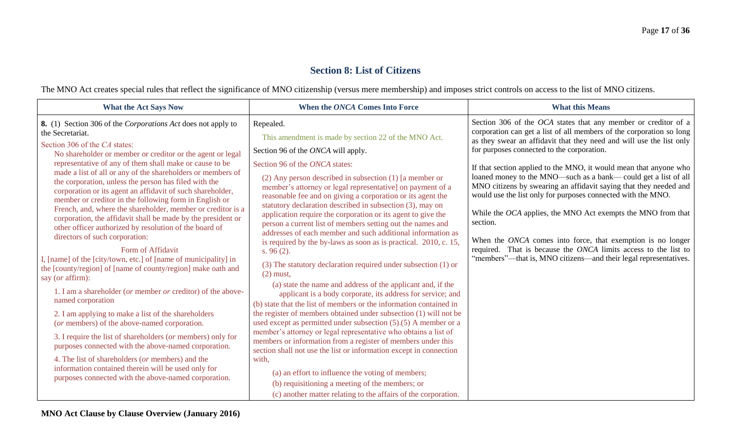## **Section 8: List of Citizens**

The MNO Act creates special rules that reflect the significance of MNO citizenship (versus mere membership) and imposes strict controls on access to the list of MNO citizens.

| <b>What the Act Says Now</b>                                                                                                                                                                                                                                                                                                                                                                                                                                                                                                                                                                                                                                                                                                                                                                                                                                                                                                                                                                                                                                                                                                                                                                                                                                                                                                                                                           | When the ONCA Comes Into Force                                                                                                                                                                                                                                                                                                                                                                                                                                                                                                                                                                                                                                                                                                                                                                                                                                                                                                                                                                                                                                                                                                                                                                                                                                                                                                                                                                                                                                                                                | <b>What this Means</b>                                                                                                                                                                                                                                                                                                                                                                                                                                                                                                                                                                                                                                                                                                                                                                                                     |
|----------------------------------------------------------------------------------------------------------------------------------------------------------------------------------------------------------------------------------------------------------------------------------------------------------------------------------------------------------------------------------------------------------------------------------------------------------------------------------------------------------------------------------------------------------------------------------------------------------------------------------------------------------------------------------------------------------------------------------------------------------------------------------------------------------------------------------------------------------------------------------------------------------------------------------------------------------------------------------------------------------------------------------------------------------------------------------------------------------------------------------------------------------------------------------------------------------------------------------------------------------------------------------------------------------------------------------------------------------------------------------------|---------------------------------------------------------------------------------------------------------------------------------------------------------------------------------------------------------------------------------------------------------------------------------------------------------------------------------------------------------------------------------------------------------------------------------------------------------------------------------------------------------------------------------------------------------------------------------------------------------------------------------------------------------------------------------------------------------------------------------------------------------------------------------------------------------------------------------------------------------------------------------------------------------------------------------------------------------------------------------------------------------------------------------------------------------------------------------------------------------------------------------------------------------------------------------------------------------------------------------------------------------------------------------------------------------------------------------------------------------------------------------------------------------------------------------------------------------------------------------------------------------------|----------------------------------------------------------------------------------------------------------------------------------------------------------------------------------------------------------------------------------------------------------------------------------------------------------------------------------------------------------------------------------------------------------------------------------------------------------------------------------------------------------------------------------------------------------------------------------------------------------------------------------------------------------------------------------------------------------------------------------------------------------------------------------------------------------------------------|
| 8. (1) Section 306 of the Corporations Act does not apply to<br>the Secretariat.<br>Section 306 of the CA states:<br>No shareholder or member or creditor or the agent or legal<br>representative of any of them shall make or cause to be<br>made a list of all or any of the shareholders or members of<br>the corporation, unless the person has filed with the<br>corporation or its agent an affidavit of such shareholder,<br>member or creditor in the following form in English or<br>French, and, where the shareholder, member or creditor is a<br>corporation, the affidavit shall be made by the president or<br>other officer authorized by resolution of the board of<br>directors of such corporation:<br>Form of Affidavit<br>I, [name] of the [city/town, etc.] of [name of municipality] in<br>the [county/region] of [name of county/region] make oath and<br>say (or affirm):<br>1. I am a shareholder (or member or creditor) of the above-<br>named corporation<br>2. I am applying to make a list of the shareholders<br>(or members) of the above-named corporation.<br>3. I require the list of shareholders (or members) only for<br>purposes connected with the above-named corporation.<br>4. The list of shareholders (or members) and the<br>information contained therein will be used only for<br>purposes connected with the above-named corporation. | Repealed.<br>This amendment is made by section 22 of the MNO Act.<br>Section 96 of the ONCA will apply.<br>Section 96 of the ONCA states:<br>$(2)$ Any person described in subsection $(1)$ [a member or<br>member's attorney or legal representative] on payment of a<br>reasonable fee and on giving a corporation or its agent the<br>statutory declaration described in subsection (3), may on<br>application require the corporation or its agent to give the<br>person a current list of members setting out the names and<br>addresses of each member and such additional information as<br>is required by the by-laws as soon as is practical. 2010, c. 15,<br>s. $96(2)$ .<br>(3) The statutory declaration required under subsection (1) or<br>$(2)$ must,<br>(a) state the name and address of the applicant and, if the<br>applicant is a body corporate, its address for service; and<br>(b) state that the list of members or the information contained in<br>the register of members obtained under subsection (1) will not be<br>used except as permitted under subsection $(5)(5)$ A member or a<br>member's attorney or legal representative who obtains a list of<br>members or information from a register of members under this<br>section shall not use the list or information except in connection<br>with,<br>(a) an effort to influence the voting of members;<br>(b) requisitioning a meeting of the members; or<br>(c) another matter relating to the affairs of the corporation. | Section 306 of the OCA states that any member or creditor of a<br>corporation can get a list of all members of the corporation so long<br>as they swear an affidavit that they need and will use the list only<br>for purposes connected to the corporation.<br>If that section applied to the MNO, it would mean that anyone who<br>loaned money to the MNO-such as a bank-could get a list of all<br>MNO citizens by swearing an affidavit saying that they needed and<br>would use the list only for purposes connected with the MNO.<br>While the OCA applies, the MNO Act exempts the MNO from that<br>section.<br>When the ONCA comes into force, that exemption is no longer<br>required. That is because the ONCA limits access to the list to<br>"members"—that is, MNO citizens—and their legal representatives. |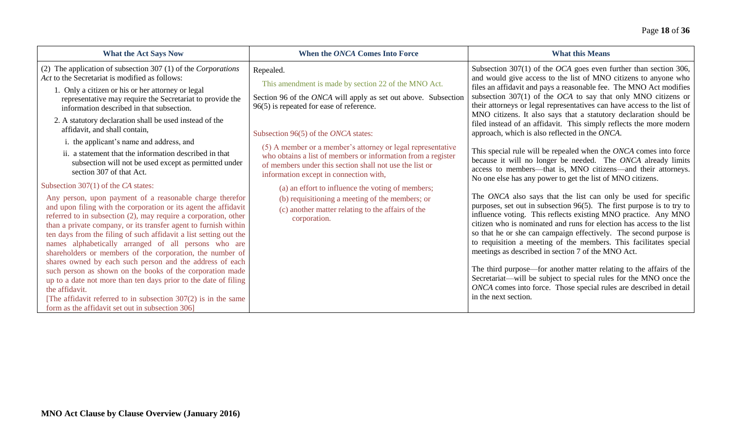| <b>What the Act Says Now</b>                                                                                                                                                                                                                                                                                                                                                                                                                                                                                                                                                                                                                                                                                                                                                                                                                                                                                                                                                                                                                                                                                                                                                                                                                                                                                                                                                                                        | When the ONCA Comes Into Force                                                                                                                                                                                                                                                                                                                                                                                                                                                                                                                                                                                                             | <b>What this Means</b>                                                                                                                                                                                                                                                                                                                                                                                                                                                                                                                                                                                                                                                                                                                                                                                                                                                                                                                                                                                                                                                                                                                                                                                                                                                                                                                                                                                                                                                                                                                                                 |
|---------------------------------------------------------------------------------------------------------------------------------------------------------------------------------------------------------------------------------------------------------------------------------------------------------------------------------------------------------------------------------------------------------------------------------------------------------------------------------------------------------------------------------------------------------------------------------------------------------------------------------------------------------------------------------------------------------------------------------------------------------------------------------------------------------------------------------------------------------------------------------------------------------------------------------------------------------------------------------------------------------------------------------------------------------------------------------------------------------------------------------------------------------------------------------------------------------------------------------------------------------------------------------------------------------------------------------------------------------------------------------------------------------------------|--------------------------------------------------------------------------------------------------------------------------------------------------------------------------------------------------------------------------------------------------------------------------------------------------------------------------------------------------------------------------------------------------------------------------------------------------------------------------------------------------------------------------------------------------------------------------------------------------------------------------------------------|------------------------------------------------------------------------------------------------------------------------------------------------------------------------------------------------------------------------------------------------------------------------------------------------------------------------------------------------------------------------------------------------------------------------------------------------------------------------------------------------------------------------------------------------------------------------------------------------------------------------------------------------------------------------------------------------------------------------------------------------------------------------------------------------------------------------------------------------------------------------------------------------------------------------------------------------------------------------------------------------------------------------------------------------------------------------------------------------------------------------------------------------------------------------------------------------------------------------------------------------------------------------------------------------------------------------------------------------------------------------------------------------------------------------------------------------------------------------------------------------------------------------------------------------------------------------|
| (2) The application of subsection 307 (1) of the Corporations<br>Act to the Secretariat is modified as follows:<br>1. Only a citizen or his or her attorney or legal<br>representative may require the Secretariat to provide the<br>information described in that subsection.<br>2. A statutory declaration shall be used instead of the<br>affidavit, and shall contain,<br>i. the applicant's name and address, and<br>ii. a statement that the information described in that<br>subsection will not be used except as permitted under<br>section 307 of that Act.<br>Subsection $307(1)$ of the CA states:<br>Any person, upon payment of a reasonable charge therefor<br>and upon filing with the corporation or its agent the affidavit<br>referred to in subsection (2), may require a corporation, other<br>than a private company, or its transfer agent to furnish within<br>ten days from the filing of such affidavit a list setting out the<br>names alphabetically arranged of all persons who are<br>shareholders or members of the corporation, the number of<br>shares owned by each such person and the address of each<br>such person as shown on the books of the corporation made<br>up to a date not more than ten days prior to the date of filing<br>the affidavit.<br>[The affidavit referred to in subsection $307(2)$ is in the same<br>form as the affidavit set out in subsection 306] | Repealed.<br>This amendment is made by section 22 of the MNO Act.<br>Section 96 of the ONCA will apply as set out above. Subsection<br>$96(5)$ is repeated for ease of reference.<br>Subsection 96(5) of the ONCA states:<br>(5) A member or a member's attorney or legal representative<br>who obtains a list of members or information from a register<br>of members under this section shall not use the list or<br>information except in connection with,<br>(a) an effort to influence the voting of members;<br>(b) requisitioning a meeting of the members; or<br>(c) another matter relating to the affairs of the<br>corporation. | Subsection 307(1) of the <i>OCA</i> goes even further than section 306,<br>and would give access to the list of MNO citizens to anyone who<br>files an affidavit and pays a reasonable fee. The MNO Act modifies<br>subsection $307(1)$ of the <i>OCA</i> to say that only MNO citizens or<br>their attorneys or legal representatives can have access to the list of<br>MNO citizens. It also says that a statutory declaration should be<br>filed instead of an affidavit. This simply reflects the more modern<br>approach, which is also reflected in the ONCA.<br>This special rule will be repealed when the ONCA comes into force<br>because it will no longer be needed. The ONCA already limits<br>access to members—that is, MNO citizens—and their attorneys.<br>No one else has any power to get the list of MNO citizens.<br>The ONCA also says that the list can only be used for specific<br>purposes, set out in subsection 96(5). The first purpose is to try to<br>influence voting. This reflects existing MNO practice. Any MNO<br>citizen who is nominated and runs for election has access to the list<br>so that he or she can campaign effectively. The second purpose is<br>to requisition a meeting of the members. This facilitates special<br>meetings as described in section 7 of the MNO Act.<br>The third purpose—for another matter relating to the affairs of the<br>Secretariat—will be subject to special rules for the MNO once the<br>ONCA comes into force. Those special rules are described in detail<br>in the next section. |
|                                                                                                                                                                                                                                                                                                                                                                                                                                                                                                                                                                                                                                                                                                                                                                                                                                                                                                                                                                                                                                                                                                                                                                                                                                                                                                                                                                                                                     |                                                                                                                                                                                                                                                                                                                                                                                                                                                                                                                                                                                                                                            |                                                                                                                                                                                                                                                                                                                                                                                                                                                                                                                                                                                                                                                                                                                                                                                                                                                                                                                                                                                                                                                                                                                                                                                                                                                                                                                                                                                                                                                                                                                                                                        |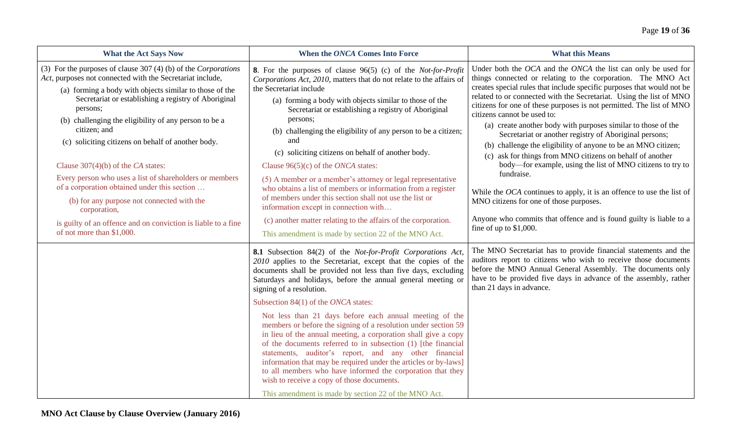| <b>What the Act Says Now</b>                                                                                                                                                                                                                                                                                                                                                                                                                                                                                                                                                                                                                                                        | When the ONCA Comes Into Force                                                                                                                                                                                                                                                                                                                                                                                                                                                                                                                                                                                                                                                                                                                                                                                                                                                                                                                                        | <b>What this Means</b>                                                                                                                                                                                                                                                                                                                                                                                                                                                                                                                                                                                                                                                                                                                                                                                                                                                                                                                             |
|-------------------------------------------------------------------------------------------------------------------------------------------------------------------------------------------------------------------------------------------------------------------------------------------------------------------------------------------------------------------------------------------------------------------------------------------------------------------------------------------------------------------------------------------------------------------------------------------------------------------------------------------------------------------------------------|-----------------------------------------------------------------------------------------------------------------------------------------------------------------------------------------------------------------------------------------------------------------------------------------------------------------------------------------------------------------------------------------------------------------------------------------------------------------------------------------------------------------------------------------------------------------------------------------------------------------------------------------------------------------------------------------------------------------------------------------------------------------------------------------------------------------------------------------------------------------------------------------------------------------------------------------------------------------------|----------------------------------------------------------------------------------------------------------------------------------------------------------------------------------------------------------------------------------------------------------------------------------------------------------------------------------------------------------------------------------------------------------------------------------------------------------------------------------------------------------------------------------------------------------------------------------------------------------------------------------------------------------------------------------------------------------------------------------------------------------------------------------------------------------------------------------------------------------------------------------------------------------------------------------------------------|
| (3) For the purposes of clause $307(4)$ (b) of the <i>Corporations</i><br>Act, purposes not connected with the Secretariat include,<br>(a) forming a body with objects similar to those of the<br>Secretariat or establishing a registry of Aboriginal<br>persons;<br>(b) challenging the eligibility of any person to be a<br>citizen; and<br>(c) soliciting citizens on behalf of another body.<br>Clause $307(4)(b)$ of the CA states:<br>Every person who uses a list of shareholders or members<br>of a corporation obtained under this section<br>(b) for any purpose not connected with the<br>corporation,<br>is guilty of an offence and on conviction is liable to a fine | 8. For the purposes of clause 96(5) (c) of the Not-for-Profit<br>Corporations Act, 2010, matters that do not relate to the affairs of<br>the Secretariat include<br>(a) forming a body with objects similar to those of the<br>Secretariat or establishing a registry of Aboriginal<br>persons;<br>(b) challenging the eligibility of any person to be a citizen;<br>and<br>(c) soliciting citizens on behalf of another body.<br>Clause $96(5)(c)$ of the <i>ONCA</i> states:<br>(5) A member or a member's attorney or legal representative<br>who obtains a list of members or information from a register<br>of members under this section shall not use the list or<br>information except in connection with<br>(c) another matter relating to the affairs of the corporation.                                                                                                                                                                                   | Under both the OCA and the ONCA the list can only be used for<br>things connected or relating to the corporation. The MNO Act<br>creates special rules that include specific purposes that would not be<br>related to or connected with the Secretariat. Using the list of MNO<br>citizens for one of these purposes is not permitted. The list of MNO<br>citizens cannot be used to:<br>(a) create another body with purposes similar to those of the<br>Secretariat or another registry of Aboriginal persons;<br>(b) challenge the eligibility of anyone to be an MNO citizen;<br>(c) ask for things from MNO citizens on behalf of another<br>body—for example, using the list of MNO citizens to try to<br>fundraise.<br>While the $OCA$ continues to apply, it is an offence to use the list of<br>MNO citizens for one of those purposes.<br>Anyone who commits that offence and is found guilty is liable to a<br>fine of up to $$1,000$ . |
| of not more than \$1,000.                                                                                                                                                                                                                                                                                                                                                                                                                                                                                                                                                                                                                                                           | This amendment is made by section 22 of the MNO Act.<br>8.1 Subsection 84(2) of the Not-for-Profit Corporations Act,<br>2010 applies to the Secretariat, except that the copies of the<br>documents shall be provided not less than five days, excluding<br>Saturdays and holidays, before the annual general meeting or<br>signing of a resolution.<br>Subsection $84(1)$ of the <i>ONCA</i> states:<br>Not less than 21 days before each annual meeting of the<br>members or before the signing of a resolution under section 59<br>in lieu of the annual meeting, a corporation shall give a copy<br>of the documents referred to in subsection (1) [the financial<br>statements, auditor's report, and any other financial<br>information that may be required under the articles or by-laws]<br>to all members who have informed the corporation that they<br>wish to receive a copy of those documents.<br>This amendment is made by section 22 of the MNO Act. | The MNO Secretariat has to provide financial statements and the<br>auditors report to citizens who wish to receive those documents<br>before the MNO Annual General Assembly. The documents only<br>have to be provided five days in advance of the assembly, rather<br>than 21 days in advance.                                                                                                                                                                                                                                                                                                                                                                                                                                                                                                                                                                                                                                                   |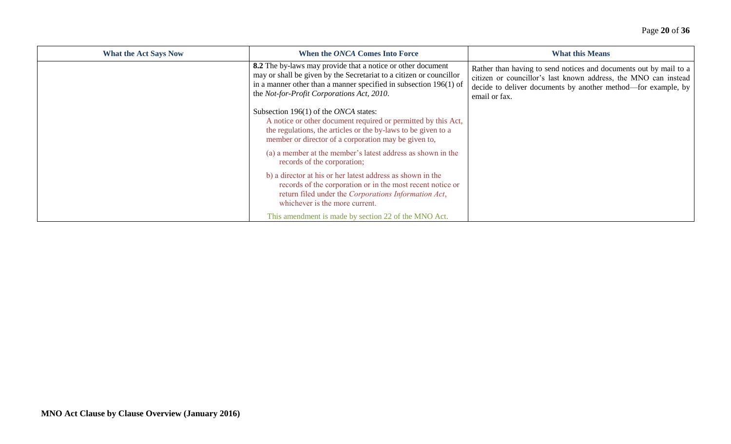| <b>What the Act Says Now</b> | When the ONCA Comes Into Force                                                                                                                                                                                                                          | <b>What this Means</b>                                                                                                                                                                                                 |
|------------------------------|---------------------------------------------------------------------------------------------------------------------------------------------------------------------------------------------------------------------------------------------------------|------------------------------------------------------------------------------------------------------------------------------------------------------------------------------------------------------------------------|
|                              | 8.2 The by-laws may provide that a notice or other document<br>may or shall be given by the Secretariat to a citizen or councillor<br>in a manner other than a manner specified in subsection $196(1)$ of<br>the Not-for-Profit Corporations Act, 2010. | Rather than having to send notices and documents out by mail to a<br>citizen or councillor's last known address, the MNO can instead<br>decide to deliver documents by another method—for example, by<br>email or fax. |
|                              | Subsection 196(1) of the ONCA states:<br>A notice or other document required or permitted by this Act,<br>the regulations, the articles or the by-laws to be given to a<br>member or director of a corporation may be given to,                         |                                                                                                                                                                                                                        |
|                              | (a) a member at the member's latest address as shown in the<br>records of the corporation;                                                                                                                                                              |                                                                                                                                                                                                                        |
|                              | b) a director at his or her latest address as shown in the<br>records of the corporation or in the most recent notice or<br>return filed under the Corporations Information Act,<br>whichever is the more current.                                      |                                                                                                                                                                                                                        |
|                              | This amendment is made by section 22 of the MNO Act.                                                                                                                                                                                                    |                                                                                                                                                                                                                        |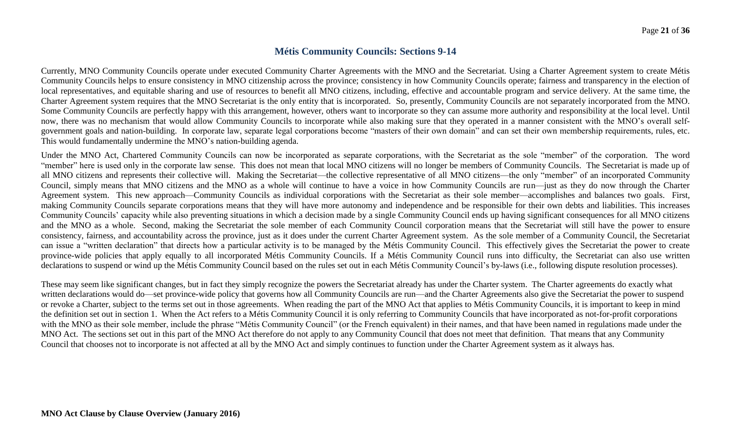## **Métis Community Councils: Sections 9-14**

Currently, MNO Community Councils operate under executed Community Charter Agreements with the MNO and the Secretariat. Using a Charter Agreement system to create Métis Community Councils helps to ensure consistency in MNO citizenship across the province; consistency in how Community Councils operate; fairness and transparency in the election of local representatives, and equitable sharing and use of resources to benefit all MNO citizens, including, effective and accountable program and service delivery. At the same time, the Charter Agreement system requires that the MNO Secretariat is the only entity that is incorporated. So, presently, Community Councils are not separately incorporated from the MNO. Some Community Councils are perfectly happy with this arrangement, however, others want to incorporate so they can assume more authority and responsibility at the local level. Until now, there was no mechanism that would allow Community Councils to incorporate while also making sure that they operated in a manner consistent with the MNO's overall selfgovernment goals and nation-building. In corporate law, separate legal corporations become "masters of their own domain" and can set their own membership requirements, rules, etc. This would fundamentally undermine the MNO's nation-building agenda.

Under the MNO Act, Chartered Community Councils can now be incorporated as separate corporations, with the Secretariat as the sole "member" of the corporation. The word "member" here is used only in the corporate law sense. This does not mean that local MNO citizens will no longer be members of Community Councils. The Secretariat is made up of all MNO citizens and represents their collective will. Making the Secretariat—the collective representative of all MNO citizens—the only "member" of an incorporated Community Council, simply means that MNO citizens and the MNO as a whole will continue to have a voice in how Community Councils are run—just as they do now through the Charter Agreement system. This new approach—Community Councils as individual corporations with the Secretariat as their sole member—accomplishes and balances two goals. First, making Community Councils separate corporations means that they will have more autonomy and independence and be responsible for their own debts and liabilities. This increases Community Councils' capacity while also preventing situations in which a decision made by a single Community Council ends up having significant consequences for all MNO citizens and the MNO as a whole. Second, making the Secretariat the sole member of each Community Council corporation means that the Secretariat will still have the power to ensure consistency, fairness, and accountability across the province, just as it does under the current Charter Agreement system. As the sole member of a Community Council, the Secretariat can issue a "written declaration" that directs how a particular activity is to be managed by the Métis Community Council. This effectively gives the Secretariat the power to create province-wide policies that apply equally to all incorporated Métis Community Councils. If a Métis Community Council runs into difficulty, the Secretariat can also use written declarations to suspend or wind up the Métis Community Council based on the rules set out in each Métis Community Council's by-laws (i.e., following dispute resolution processes).

These may seem like significant changes, but in fact they simply recognize the powers the Secretariat already has under the Charter system. The Charter agreements do exactly what written declarations would do—set province-wide policy that governs how all Community Councils are run—and the Charter Agreements also give the Secretariat the power to suspend or revoke a Charter, subject to the terms set out in those agreements. When reading the part of the MNO Act that applies to Métis Community Councils, it is important to keep in mind the definition set out in section 1. When the Act refers to a Métis Community Council it is only referring to Community Councils that have incorporated as not-for-profit corporations with the MNO as their sole member, include the phrase "Métis Community Council" (or the French equivalent) in their names, and that have been named in regulations made under the MNO Act. The sections set out in this part of the MNO Act therefore do not apply to any Community Council that does not meet that definition. That means that any Community Council that chooses not to incorporate is not affected at all by the MNO Act and simply continues to function under the Charter Agreement system as it always has.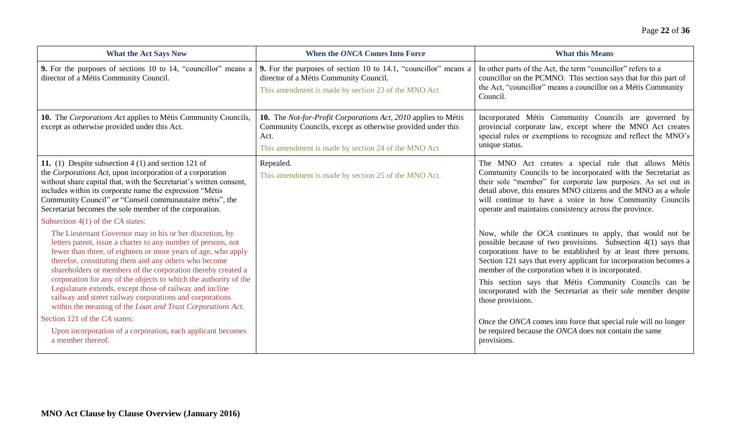| <b>What the Act Says Now</b>                                                                                                                                                                                                                                                                                                                                                                                                                                                                                                                                                                                                                                                                                                              | When the ONCA Comes Into Force                                                                                                                                                               | <b>What this Means</b>                                                                                                                                                                                                                                                                                                                                                                                                                                                                                                                                                                                              |
|-------------------------------------------------------------------------------------------------------------------------------------------------------------------------------------------------------------------------------------------------------------------------------------------------------------------------------------------------------------------------------------------------------------------------------------------------------------------------------------------------------------------------------------------------------------------------------------------------------------------------------------------------------------------------------------------------------------------------------------------|----------------------------------------------------------------------------------------------------------------------------------------------------------------------------------------------|---------------------------------------------------------------------------------------------------------------------------------------------------------------------------------------------------------------------------------------------------------------------------------------------------------------------------------------------------------------------------------------------------------------------------------------------------------------------------------------------------------------------------------------------------------------------------------------------------------------------|
| <b>9.</b> For the purposes of sections 10 to 14, "councillor" means a<br>director of a Métis Community Council.                                                                                                                                                                                                                                                                                                                                                                                                                                                                                                                                                                                                                           | 9. For the purposes of section 10 to 14.1, "councillor" means a<br>director of a Métis Community Council.<br>This amendment is made by section 23 of the MNO Act.                            | In other parts of the Act, the term "councillor" refers to a<br>councillor on the PCMNO. This section says that for this part of<br>the Act, "councillor" means a councillor on a Métis Community<br>Council.                                                                                                                                                                                                                                                                                                                                                                                                       |
| 10. The Corporations Act applies to Métis Community Councils,<br>except as otherwise provided under this Act.                                                                                                                                                                                                                                                                                                                                                                                                                                                                                                                                                                                                                             | 10. The Not-for-Profit Corporations Act, 2010 applies to Métis<br>Community Councils, except as otherwise provided under this<br>Act.<br>This amendment is made by section 24 of the MNO Act | Incorporated Métis Community Councils are governed by<br>provincial corporate law, except where the MNO Act creates<br>special rules or exemptions to recognize and reflect the MNO's<br>unique status.                                                                                                                                                                                                                                                                                                                                                                                                             |
| 11. (1) Despite subsection $4(1)$ and section 121 of<br>the Corporations Act, upon incorporation of a corporation<br>without share capital that, with the Secretariat's written consent,<br>includes within its corporate name the expression "Métis"<br>Community Council" or "Conseil communautaire métis", the<br>Secretariat becomes the sole member of the corporation.                                                                                                                                                                                                                                                                                                                                                              | Repealed.<br>This amendment is made by section 25 of the MNO Act.                                                                                                                            | The MNO Act creates a special rule that allows Métis<br>Community Councils to be incorporated with the Secretariat as<br>their sole "member" for corporate law purposes. As set out in<br>detail above, this ensures MNO citizens and the MNO as a whole<br>will continue to have a voice in how Community Councils<br>operate and maintains consistency across the province.                                                                                                                                                                                                                                       |
| Subsection $4(1)$ of the CA states:<br>The Lieutenant Governor may in his or her discretion, by<br>letters patent, issue a charter to any number of persons, not<br>fewer than three, of eighteen or more years of age, who apply<br>therefor, constituting them and any others who become<br>shareholders or members of the corporation thereby created a<br>corporation for any of the objects to which the authority of the<br>Legislature extends, except those of railway and incline<br>railway and street railway corporations and corporations<br>within the meaning of the Loan and Trust Corporations Act.<br>Section 121 of the CA states:<br>Upon incorporation of a corporation, each applicant becomes<br>a member thereof. |                                                                                                                                                                                              | Now, while the OCA continues to apply, that would not be<br>possible because of two provisions. Subsection 4(1) says that<br>corporations have to be established by at least three persons.<br>Section 121 says that every applicant for incorporation becomes a<br>member of the corporation when it is incorporated.<br>This section says that Métis Community Councils can be<br>incorporated with the Secretariat as their sole member despite<br>those provisions.<br>Once the ONCA comes into force that special rule will no longer<br>be required because the ONCA does not contain the same<br>provisions. |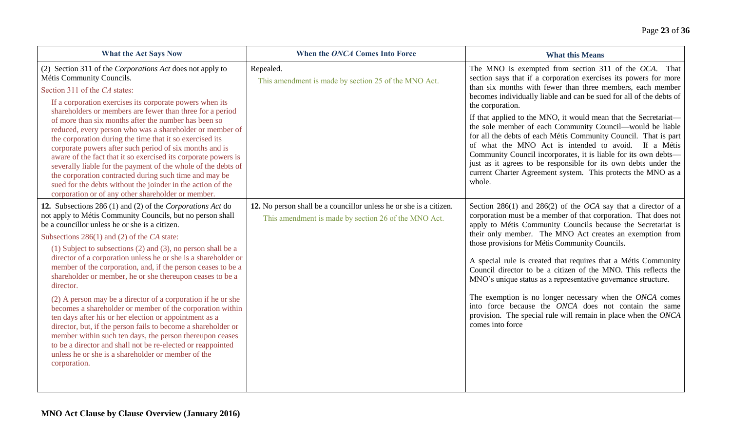| <b>What the Act Says Now</b>                                                                                                                                                                                                                                                                                                                                                                                                                                                                                                                                                                                                                                                                                                                            | When the ONCA Comes Into Force                                                                                             | <b>What this Means</b>                                                                                                                                                                                                                                                                                                                                                                                                                                                                                                                                                                                                                                                                                                                                        |
|---------------------------------------------------------------------------------------------------------------------------------------------------------------------------------------------------------------------------------------------------------------------------------------------------------------------------------------------------------------------------------------------------------------------------------------------------------------------------------------------------------------------------------------------------------------------------------------------------------------------------------------------------------------------------------------------------------------------------------------------------------|----------------------------------------------------------------------------------------------------------------------------|---------------------------------------------------------------------------------------------------------------------------------------------------------------------------------------------------------------------------------------------------------------------------------------------------------------------------------------------------------------------------------------------------------------------------------------------------------------------------------------------------------------------------------------------------------------------------------------------------------------------------------------------------------------------------------------------------------------------------------------------------------------|
| (2) Section 311 of the Corporations Act does not apply to<br>Métis Community Councils.<br>Section 311 of the CA states:<br>If a corporation exercises its corporate powers when its<br>shareholders or members are fewer than three for a period<br>of more than six months after the number has been so<br>reduced, every person who was a shareholder or member of<br>the corporation during the time that it so exercised its<br>corporate powers after such period of six months and is<br>aware of the fact that it so exercised its corporate powers is<br>severally liable for the payment of the whole of the debts of<br>the corporation contracted during such time and may be<br>sued for the debts without the joinder in the action of the | Repealed.<br>This amendment is made by section 25 of the MNO Act.                                                          | The MNO is exempted from section 311 of the OCA. That<br>section says that if a corporation exercises its powers for more<br>than six months with fewer than three members, each member<br>becomes individually liable and can be sued for all of the debts of<br>the corporation.<br>If that applied to the MNO, it would mean that the Secretariat-<br>the sole member of each Community Council—would be liable<br>for all the debts of each Métis Community Council. That is part<br>of what the MNO Act is intended to avoid. If a Métis<br>Community Council incorporates, it is liable for its own debts-<br>just as it agrees to be responsible for its own debts under the<br>current Charter Agreement system. This protects the MNO as a<br>whole. |
| corporation or of any other shareholder or member.<br>12. Subsections 286 (1) and (2) of the Corporations Act do<br>not apply to Métis Community Councils, but no person shall<br>be a councillor unless he or she is a citizen.<br>Subsections $286(1)$ and (2) of the CA state:                                                                                                                                                                                                                                                                                                                                                                                                                                                                       | 12. No person shall be a councillor unless he or she is a citizen.<br>This amendment is made by section 26 of the MNO Act. | Section 286(1) and 286(2) of the <i>OCA</i> say that a director of a<br>corporation must be a member of that corporation. That does not<br>apply to Métis Community Councils because the Secretariat is<br>their only member. The MNO Act creates an exemption from                                                                                                                                                                                                                                                                                                                                                                                                                                                                                           |
| (1) Subject to subsections (2) and (3), no person shall be a<br>director of a corporation unless he or she is a shareholder or<br>member of the corporation, and, if the person ceases to be a<br>shareholder or member, he or she thereupon ceases to be a<br>director.<br>(2) A person may be a director of a corporation if he or she<br>becomes a shareholder or member of the corporation within<br>ten days after his or her election or appointment as a<br>director, but, if the person fails to become a shareholder or<br>member within such ten days, the person thereupon ceases<br>to be a director and shall not be re-elected or reappointed<br>unless he or she is a shareholder or member of the<br>corporation.                       |                                                                                                                            | those provisions for Métis Community Councils.<br>A special rule is created that requires that a Métis Community<br>Council director to be a citizen of the MNO. This reflects the<br>MNO's unique status as a representative governance structure.<br>The exemption is no longer necessary when the ONCA comes<br>into force because the ONCA does not contain the same<br>provision. The special rule will remain in place when the ONCA<br>comes into force                                                                                                                                                                                                                                                                                                |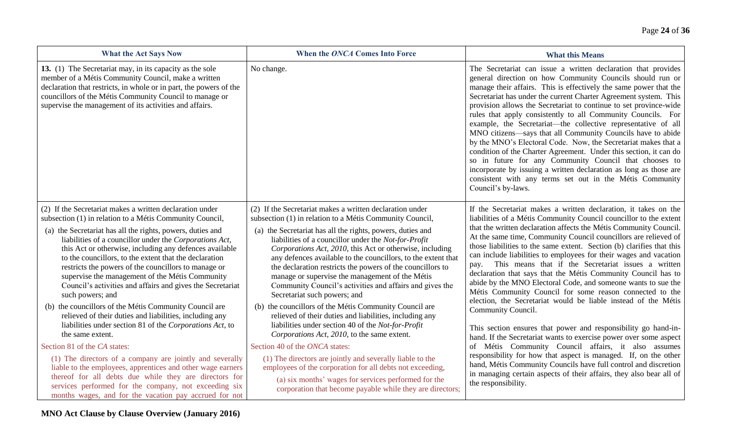| <b>What the Act Says Now</b>                                                                                                                                                                                                                                                                                                                                                                                                                                                                                                                                                                                                                                                                                                                                         | When the ONCA Comes Into Force                                                                                                                                                                                                                                                                                                                                                                                                                                                                                                                                                                                                                                                                                                                                                                                 | <b>What this Means</b>                                                                                                                                                                                                                                                                                                                                                                                                                                                                                                                                                                                                                                                                                                                                                                                                                                                                           |
|----------------------------------------------------------------------------------------------------------------------------------------------------------------------------------------------------------------------------------------------------------------------------------------------------------------------------------------------------------------------------------------------------------------------------------------------------------------------------------------------------------------------------------------------------------------------------------------------------------------------------------------------------------------------------------------------------------------------------------------------------------------------|----------------------------------------------------------------------------------------------------------------------------------------------------------------------------------------------------------------------------------------------------------------------------------------------------------------------------------------------------------------------------------------------------------------------------------------------------------------------------------------------------------------------------------------------------------------------------------------------------------------------------------------------------------------------------------------------------------------------------------------------------------------------------------------------------------------|--------------------------------------------------------------------------------------------------------------------------------------------------------------------------------------------------------------------------------------------------------------------------------------------------------------------------------------------------------------------------------------------------------------------------------------------------------------------------------------------------------------------------------------------------------------------------------------------------------------------------------------------------------------------------------------------------------------------------------------------------------------------------------------------------------------------------------------------------------------------------------------------------|
| 13. (1) The Secretariat may, in its capacity as the sole<br>member of a Métis Community Council, make a written<br>declaration that restricts, in whole or in part, the powers of the<br>councillors of the Métis Community Council to manage or<br>supervise the management of its activities and affairs.                                                                                                                                                                                                                                                                                                                                                                                                                                                          | No change.                                                                                                                                                                                                                                                                                                                                                                                                                                                                                                                                                                                                                                                                                                                                                                                                     | The Secretariat can issue a written declaration that provides<br>general direction on how Community Councils should run or<br>manage their affairs. This is effectively the same power that the<br>Secretariat has under the current Charter Agreement system. This<br>provision allows the Secretariat to continue to set province-wide<br>rules that apply consistently to all Community Councils. For<br>example, the Secretariat-the collective representative of all<br>MNO citizens-says that all Community Councils have to abide<br>by the MNO's Electoral Code. Now, the Secretariat makes that a<br>condition of the Charter Agreement. Under this section, it can do<br>so in future for any Community Council that chooses to<br>incorporate by issuing a written declaration as long as those are<br>consistent with any terms set out in the Métis Community<br>Council's by-laws. |
| (2) If the Secretariat makes a written declaration under<br>subsection (1) in relation to a Métis Community Council,<br>(a) the Secretariat has all the rights, powers, duties and<br>liabilities of a councillor under the Corporations Act,<br>this Act or otherwise, including any defences available<br>to the councillors, to the extent that the declaration<br>restricts the powers of the councillors to manage or<br>supervise the management of the Métis Community<br>Council's activities and affairs and gives the Secretariat<br>such powers; and<br>(b) the councillors of the Métis Community Council are<br>relieved of their duties and liabilities, including any<br>liabilities under section 81 of the Corporations Act, to<br>the same extent. | (2) If the Secretariat makes a written declaration under<br>subsection (1) in relation to a Métis Community Council,<br>(a) the Secretariat has all the rights, powers, duties and<br>liabilities of a councillor under the Not-for-Profit<br>Corporations Act, 2010, this Act or otherwise, including<br>any defences available to the councillors, to the extent that<br>the declaration restricts the powers of the councillors to<br>manage or supervise the management of the Métis<br>Community Council's activities and affairs and gives the<br>Secretariat such powers; and<br>(b) the councillors of the Métis Community Council are<br>relieved of their duties and liabilities, including any<br>liabilities under section 40 of the Not-for-Profit<br>Corporations Act, 2010, to the same extent. | If the Secretariat makes a written declaration, it takes on the<br>liabilities of a Métis Community Council councillor to the extent<br>that the written declaration affects the Métis Community Council.<br>At the same time, Community Council councillors are relieved of<br>those liabilities to the same extent. Section (b) clarifies that this<br>can include liabilities to employees for their wages and vacation<br>This means that if the Secretariat issues a written<br>pay.<br>declaration that says that the Métis Community Council has to<br>abide by the MNO Electoral Code, and someone wants to sue the<br>Métis Community Council for some reason connected to the<br>election, the Secretariat would be liable instead of the Métis<br>Community Council.<br>This section ensures that power and responsibility go hand-in-                                                |
| Section 81 of the CA states:                                                                                                                                                                                                                                                                                                                                                                                                                                                                                                                                                                                                                                                                                                                                         | Section 40 of the ONCA states:                                                                                                                                                                                                                                                                                                                                                                                                                                                                                                                                                                                                                                                                                                                                                                                 | hand. If the Secretariat wants to exercise power over some aspect<br>of Métis Community Council affairs, it also assumes                                                                                                                                                                                                                                                                                                                                                                                                                                                                                                                                                                                                                                                                                                                                                                         |
| (1) The directors of a company are jointly and severally<br>liable to the employees, apprentices and other wage earners<br>thereof for all debts due while they are directors for<br>services performed for the company, not exceeding six<br>months wages, and for the vacation pay accrued for not                                                                                                                                                                                                                                                                                                                                                                                                                                                                 | (1) The directors are jointly and severally liable to the<br>employees of the corporation for all debts not exceeding,<br>(a) six months' wages for services performed for the<br>corporation that become payable while they are directors;                                                                                                                                                                                                                                                                                                                                                                                                                                                                                                                                                                    | responsibility for how that aspect is managed. If, on the other<br>hand, Métis Community Councils have full control and discretion<br>in managing certain aspects of their affairs, they also bear all of<br>the responsibility.                                                                                                                                                                                                                                                                                                                                                                                                                                                                                                                                                                                                                                                                 |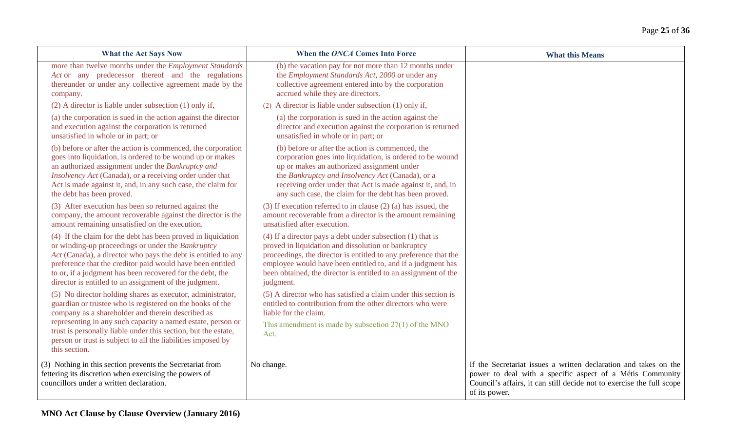| <b>What the Act Says Now</b>                                                                                                                                                                                                                                                                                                                                                                   | When the ONCA Comes Into Force                                                                                                                                                                                                                                                                                                           | <b>What this Means</b>                                                                                                                                                                                                  |
|------------------------------------------------------------------------------------------------------------------------------------------------------------------------------------------------------------------------------------------------------------------------------------------------------------------------------------------------------------------------------------------------|------------------------------------------------------------------------------------------------------------------------------------------------------------------------------------------------------------------------------------------------------------------------------------------------------------------------------------------|-------------------------------------------------------------------------------------------------------------------------------------------------------------------------------------------------------------------------|
| more than twelve months under the <i>Employment Standards</i><br>Act or any predecessor thereof and the regulations<br>thereunder or under any collective agreement made by the<br>company.                                                                                                                                                                                                    | (b) the vacation pay for not more than 12 months under<br>the <i>Employment Standards Act</i> , 2000 or under any<br>collective agreement entered into by the corporation<br>accrued while they are directors.                                                                                                                           |                                                                                                                                                                                                                         |
| $(2)$ A director is liable under subsection $(1)$ only if,                                                                                                                                                                                                                                                                                                                                     | (2) A director is liable under subsection (1) only if,                                                                                                                                                                                                                                                                                   |                                                                                                                                                                                                                         |
| (a) the corporation is sued in the action against the director<br>and execution against the corporation is returned<br>unsatisfied in whole or in part; or                                                                                                                                                                                                                                     | (a) the corporation is sued in the action against the<br>director and execution against the corporation is returned<br>unsatisfied in whole or in part; or                                                                                                                                                                               |                                                                                                                                                                                                                         |
| (b) before or after the action is commenced, the corporation<br>goes into liquidation, is ordered to be wound up or makes<br>an authorized assignment under the Bankruptcy and<br>Insolvency Act (Canada), or a receiving order under that<br>Act is made against it, and, in any such case, the claim for<br>the debt has been proved.                                                        | (b) before or after the action is commenced, the<br>corporation goes into liquidation, is ordered to be wound<br>up or makes an authorized assignment under<br>the Bankruptcy and Insolvency Act (Canada), or a<br>receiving order under that Act is made against it, and, in<br>any such case, the claim for the debt has been proved.  |                                                                                                                                                                                                                         |
| (3) After execution has been so returned against the<br>company, the amount recoverable against the director is the<br>amount remaining unsatisfied on the execution.                                                                                                                                                                                                                          | $(3)$ If execution referred to in clause $(2)$ (a) has issued, the<br>amount recoverable from a director is the amount remaining<br>unsatisfied after execution.                                                                                                                                                                         |                                                                                                                                                                                                                         |
| (4) If the claim for the debt has been proved in liquidation<br>or winding-up proceedings or under the Bankruptcy<br>Act (Canada), a director who pays the debt is entitled to any<br>preference that the creditor paid would have been entitled<br>to or, if a judgment has been recovered for the debt, the<br>director is entitled to an assignment of the judgment.                        | $(4)$ If a director pays a debt under subsection $(1)$ that is<br>proved in liquidation and dissolution or bankruptcy<br>proceedings, the director is entitled to any preference that the<br>employee would have been entitled to, and if a judgment has<br>been obtained, the director is entitled to an assignment of the<br>judgment. |                                                                                                                                                                                                                         |
| (5) No director holding shares as executor, administrator,<br>guardian or trustee who is registered on the books of the<br>company as a shareholder and therein described as<br>representing in any such capacity a named estate, person or<br>trust is personally liable under this section, but the estate,<br>person or trust is subject to all the liabilities imposed by<br>this section. | (5) A director who has satisfied a claim under this section is<br>entitled to contribution from the other directors who were<br>liable for the claim.<br>This amendment is made by subsection $27(1)$ of the MNO<br>Act.                                                                                                                 |                                                                                                                                                                                                                         |
| (3) Nothing in this section prevents the Secretariat from<br>fettering its discretion when exercising the powers of<br>councillors under a written declaration.                                                                                                                                                                                                                                | No change.                                                                                                                                                                                                                                                                                                                               | If the Secretariat issues a written declaration and takes on the<br>power to deal with a specific aspect of a Métis Community<br>Council's affairs, it can still decide not to exercise the full scope<br>of its power. |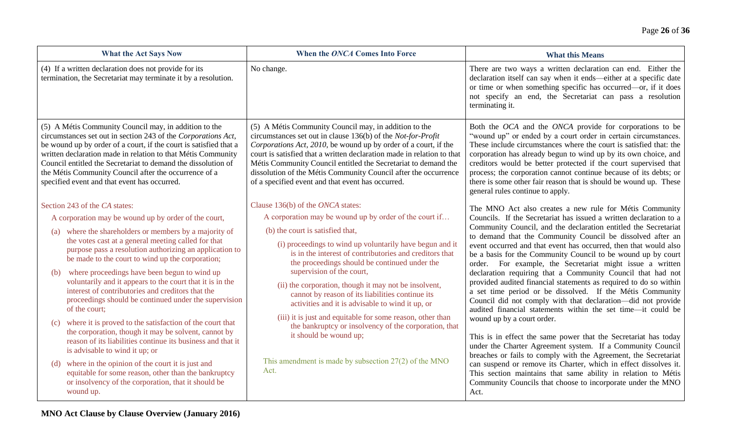| <b>What the Act Says Now</b>                                                                                                                                                                                                                                                                                                                                                                                                          | When the ONCA Comes Into Force                                                                                                                                                                                                                                                                                                                                                                                                                               | <b>What this Means</b>                                                                                                                                                                                                                                                                                                                                                                                                                                                                                                          |
|---------------------------------------------------------------------------------------------------------------------------------------------------------------------------------------------------------------------------------------------------------------------------------------------------------------------------------------------------------------------------------------------------------------------------------------|--------------------------------------------------------------------------------------------------------------------------------------------------------------------------------------------------------------------------------------------------------------------------------------------------------------------------------------------------------------------------------------------------------------------------------------------------------------|---------------------------------------------------------------------------------------------------------------------------------------------------------------------------------------------------------------------------------------------------------------------------------------------------------------------------------------------------------------------------------------------------------------------------------------------------------------------------------------------------------------------------------|
| (4) If a written declaration does not provide for its<br>termination, the Secretariat may terminate it by a resolution.                                                                                                                                                                                                                                                                                                               | No change.                                                                                                                                                                                                                                                                                                                                                                                                                                                   | There are two ways a written declaration can end. Either the<br>declaration itself can say when it ends—either at a specific date<br>or time or when something specific has occurred—or, if it does<br>not specify an end, the Secretariat can pass a resolution<br>terminating it.                                                                                                                                                                                                                                             |
| (5) A Métis Community Council may, in addition to the<br>circumstances set out in section 243 of the Corporations Act,<br>be wound up by order of a court, if the court is satisfied that a<br>written declaration made in relation to that Métis Community<br>Council entitled the Secretariat to demand the dissolution of<br>the Métis Community Council after the occurrence of a<br>specified event and that event has occurred. | (5) A Métis Community Council may, in addition to the<br>circumstances set out in clause 136(b) of the Not-for-Profit<br>Corporations Act, 2010, be wound up by order of a court, if the<br>court is satisfied that a written declaration made in relation to that<br>Métis Community Council entitled the Secretariat to demand the<br>dissolution of the Métis Community Council after the occurrence<br>of a specified event and that event has occurred. | Both the OCA and the ONCA provide for corporations to be<br>"wound up" or ended by a court order in certain circumstances.<br>These include circumstances where the court is satisfied that: the<br>corporation has already begun to wind up by its own choice, and<br>creditors would be better protected if the court supervised that<br>process; the corporation cannot continue because of its debts; or<br>there is some other fair reason that is should be wound up. These<br>general rules continue to apply.           |
| Section 243 of the CA states:                                                                                                                                                                                                                                                                                                                                                                                                         | Clause 136(b) of the ONCA states:                                                                                                                                                                                                                                                                                                                                                                                                                            | The MNO Act also creates a new rule for Métis Community                                                                                                                                                                                                                                                                                                                                                                                                                                                                         |
| A corporation may be wound up by order of the court,                                                                                                                                                                                                                                                                                                                                                                                  | A corporation may be wound up by order of the court if                                                                                                                                                                                                                                                                                                                                                                                                       | Councils. If the Secretariat has issued a written declaration to a                                                                                                                                                                                                                                                                                                                                                                                                                                                              |
| (a) where the shareholders or members by a majority of<br>the votes cast at a general meeting called for that<br>purpose pass a resolution authorizing an application to<br>be made to the court to wind up the corporation;<br>where proceedings have been begun to wind up<br>(b)<br>voluntarily and it appears to the court that it is in the<br>interest of contributories and creditors that the                                 | (b) the court is satisfied that,<br>(i) proceedings to wind up voluntarily have begun and it<br>is in the interest of contributories and creditors that<br>the proceedings should be continued under the<br>supervision of the court,<br>(ii) the corporation, though it may not be insolvent,<br>cannot by reason of its liabilities continue its                                                                                                           | Community Council, and the declaration entitled the Secretariat<br>to demand that the Community Council be dissolved after an<br>event occurred and that event has occurred, then that would also<br>be a basis for the Community Council to be wound up by court<br>order. For example, the Secretariat might issue a written<br>declaration requiring that a Community Council that had not<br>provided audited financial statements as required to do so within<br>a set time period or be dissolved. If the Métis Community |
| proceedings should be continued under the supervision<br>of the court;                                                                                                                                                                                                                                                                                                                                                                | activities and it is advisable to wind it up, or                                                                                                                                                                                                                                                                                                                                                                                                             | Council did not comply with that declaration-did not provide<br>audited financial statements within the set time—it could be                                                                                                                                                                                                                                                                                                                                                                                                    |
| where it is proved to the satisfaction of the court that<br>(c)<br>the corporation, though it may be solvent, cannot by<br>reason of its liabilities continue its business and that it<br>is advisable to wind it up; or                                                                                                                                                                                                              | (iii) it is just and equitable for some reason, other than<br>the bankruptcy or insolvency of the corporation, that<br>it should be wound up;                                                                                                                                                                                                                                                                                                                | wound up by a court order.<br>This is in effect the same power that the Secretariat has today<br>under the Charter Agreement system. If a Community Council<br>breaches or fails to comply with the Agreement, the Secretariat                                                                                                                                                                                                                                                                                                  |
| (d) where in the opinion of the court it is just and<br>equitable for some reason, other than the bankruptcy<br>or insolvency of the corporation, that it should be<br>wound up.                                                                                                                                                                                                                                                      | This amendment is made by subsection $27(2)$ of the MNO<br>Act.                                                                                                                                                                                                                                                                                                                                                                                              | can suspend or remove its Charter, which in effect dissolves it.<br>This section maintains that same ability in relation to Métis<br>Community Councils that choose to incorporate under the MNO<br>Act.                                                                                                                                                                                                                                                                                                                        |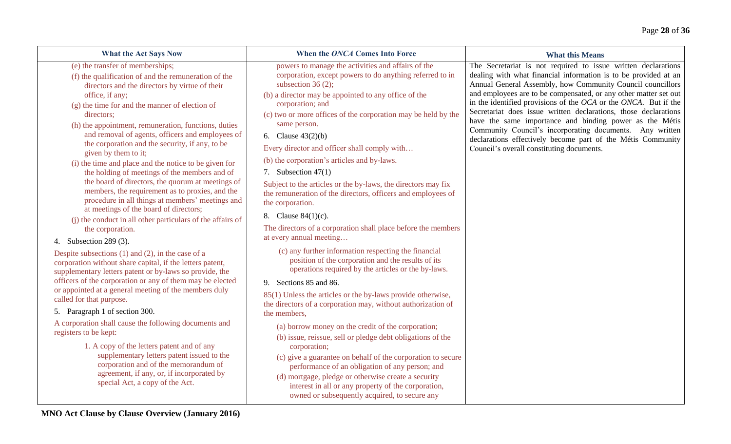| <b>What the Act Says Now</b>                                                                                                                                                                                                                                                                                                                                                                                                                                                                                                                                                                                                                                                                                                                                                                                                                                                                                                                                                                                                                                                                                                                                                                                           | When the ONCA Comes Into Force                                                                                                                                                                                                                                                                                                                                                                                                                                                                                                                                                                                                                                                                                                                                                                                                                                                                                                                                                                                                                                             | <b>What this Means</b>                                                                                                                                                                                                                                                                                                                                                                                                                                                                                                                                                                                                                           |
|------------------------------------------------------------------------------------------------------------------------------------------------------------------------------------------------------------------------------------------------------------------------------------------------------------------------------------------------------------------------------------------------------------------------------------------------------------------------------------------------------------------------------------------------------------------------------------------------------------------------------------------------------------------------------------------------------------------------------------------------------------------------------------------------------------------------------------------------------------------------------------------------------------------------------------------------------------------------------------------------------------------------------------------------------------------------------------------------------------------------------------------------------------------------------------------------------------------------|----------------------------------------------------------------------------------------------------------------------------------------------------------------------------------------------------------------------------------------------------------------------------------------------------------------------------------------------------------------------------------------------------------------------------------------------------------------------------------------------------------------------------------------------------------------------------------------------------------------------------------------------------------------------------------------------------------------------------------------------------------------------------------------------------------------------------------------------------------------------------------------------------------------------------------------------------------------------------------------------------------------------------------------------------------------------------|--------------------------------------------------------------------------------------------------------------------------------------------------------------------------------------------------------------------------------------------------------------------------------------------------------------------------------------------------------------------------------------------------------------------------------------------------------------------------------------------------------------------------------------------------------------------------------------------------------------------------------------------------|
| (e) the transfer of memberships;<br>(f) the qualification of and the remuneration of the<br>directors and the directors by virtue of their<br>office, if any;<br>(g) the time for and the manner of election of<br>directors:<br>(h) the appointment, remuneration, functions, duties<br>and removal of agents, officers and employees of<br>the corporation and the security, if any, to be<br>given by them to it;<br>(i) the time and place and the notice to be given for<br>the holding of meetings of the members and of<br>the board of directors, the quorum at meetings of<br>members, the requirement as to proxies, and the<br>procedure in all things at members' meetings and<br>at meetings of the board of directors;<br>(i) the conduct in all other particulars of the affairs of<br>the corporation.<br>4. Subsection 289 (3).<br>Despite subsections $(1)$ and $(2)$ , in the case of a<br>corporation without share capital, if the letters patent,<br>supplementary letters patent or by-laws so provide, the<br>officers of the corporation or any of them may be elected<br>or appointed at a general meeting of the members duly<br>called for that purpose.<br>5. Paragraph 1 of section 300. | powers to manage the activities and affairs of the<br>corporation, except powers to do anything referred to in<br>subsection 36 $(2)$ ;<br>(b) a director may be appointed to any office of the<br>corporation; and<br>(c) two or more offices of the corporation may be held by the<br>same person.<br>6. Clause $43(2)(b)$<br>Every director and officer shall comply with<br>(b) the corporation's articles and by-laws.<br>7. Subsection $47(1)$<br>Subject to the articles or the by-laws, the directors may fix<br>the remuneration of the directors, officers and employees of<br>the corporation.<br>8. Clause 84(1)(c).<br>The directors of a corporation shall place before the members<br>at every annual meeting<br>(c) any further information respecting the financial<br>position of the corporation and the results of its<br>operations required by the articles or the by-laws.<br>9. Sections 85 and 86.<br>85(1) Unless the articles or the by-laws provide otherwise,<br>the directors of a corporation may, without authorization of<br>the members, | The Secretariat is not required to issue written declarations<br>dealing with what financial information is to be provided at an<br>Annual General Assembly, how Community Council councillors<br>and employees are to be compensated, or any other matter set out<br>in the identified provisions of the $OCA$ or the $ONCA$ . But if the<br>Secretariat does issue written declarations, those declarations<br>have the same importance and binding power as the Métis<br>Community Council's incorporating documents. Any written<br>declarations effectively become part of the Métis Community<br>Council's overall constituting documents. |
| A corporation shall cause the following documents and<br>registers to be kept:<br>1. A copy of the letters patent and of any<br>supplementary letters patent issued to the<br>corporation and of the memorandum of<br>agreement, if any, or, if incorporated by<br>special Act, a copy of the Act.                                                                                                                                                                                                                                                                                                                                                                                                                                                                                                                                                                                                                                                                                                                                                                                                                                                                                                                     | (a) borrow money on the credit of the corporation;<br>(b) issue, reissue, sell or pledge debt obligations of the<br>corporation;<br>(c) give a guarantee on behalf of the corporation to secure<br>performance of an obligation of any person; and<br>(d) mortgage, pledge or otherwise create a security<br>interest in all or any property of the corporation,<br>owned or subsequently acquired, to secure any                                                                                                                                                                                                                                                                                                                                                                                                                                                                                                                                                                                                                                                          |                                                                                                                                                                                                                                                                                                                                                                                                                                                                                                                                                                                                                                                  |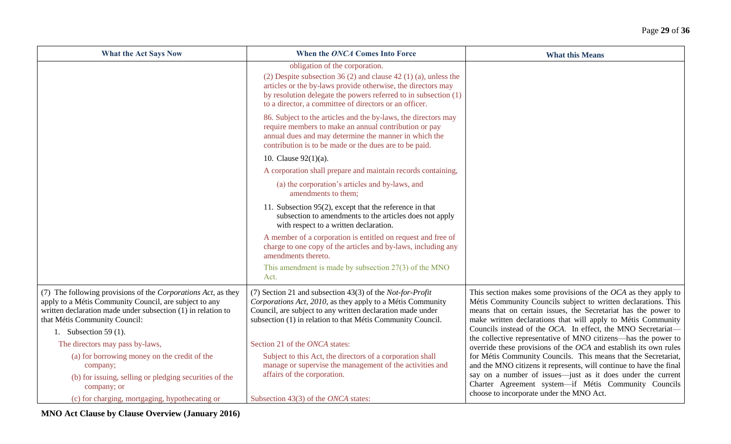| <b>What the Act Says Now</b>                                                                                                                                                                                                                      | When the ONCA Comes Into Force                                                                                                                                                                                                                                                                 | <b>What this Means</b>                                                                                                                                                                                                                                                                                                                                                                                 |
|---------------------------------------------------------------------------------------------------------------------------------------------------------------------------------------------------------------------------------------------------|------------------------------------------------------------------------------------------------------------------------------------------------------------------------------------------------------------------------------------------------------------------------------------------------|--------------------------------------------------------------------------------------------------------------------------------------------------------------------------------------------------------------------------------------------------------------------------------------------------------------------------------------------------------------------------------------------------------|
|                                                                                                                                                                                                                                                   | obligation of the corporation.<br>(2) Despite subsection 36 (2) and clause 42 (1) (a), unless the<br>articles or the by-laws provide otherwise, the directors may<br>by resolution delegate the powers referred to in subsection (1)<br>to a director, a committee of directors or an officer. |                                                                                                                                                                                                                                                                                                                                                                                                        |
|                                                                                                                                                                                                                                                   | 86. Subject to the articles and the by-laws, the directors may<br>require members to make an annual contribution or pay<br>annual dues and may determine the manner in which the<br>contribution is to be made or the dues are to be paid.                                                     |                                                                                                                                                                                                                                                                                                                                                                                                        |
|                                                                                                                                                                                                                                                   | 10. Clause $92(1)(a)$ .                                                                                                                                                                                                                                                                        |                                                                                                                                                                                                                                                                                                                                                                                                        |
|                                                                                                                                                                                                                                                   | A corporation shall prepare and maintain records containing,                                                                                                                                                                                                                                   |                                                                                                                                                                                                                                                                                                                                                                                                        |
|                                                                                                                                                                                                                                                   | (a) the corporation's articles and by-laws, and<br>amendments to them;                                                                                                                                                                                                                         |                                                                                                                                                                                                                                                                                                                                                                                                        |
|                                                                                                                                                                                                                                                   | 11. Subsection 95(2), except that the reference in that<br>subsection to amendments to the articles does not apply<br>with respect to a written declaration.                                                                                                                                   |                                                                                                                                                                                                                                                                                                                                                                                                        |
|                                                                                                                                                                                                                                                   | A member of a corporation is entitled on request and free of<br>charge to one copy of the articles and by-laws, including any<br>amendments thereto.                                                                                                                                           |                                                                                                                                                                                                                                                                                                                                                                                                        |
|                                                                                                                                                                                                                                                   | This amendment is made by subsection $27(3)$ of the MNO<br>Act.                                                                                                                                                                                                                                |                                                                                                                                                                                                                                                                                                                                                                                                        |
| (7) The following provisions of the Corporations Act, as they<br>apply to a Métis Community Council, are subject to any<br>written declaration made under subsection (1) in relation to<br>that Métis Community Council:<br>1. Subsection 59 (1). | (7) Section 21 and subsection 43(3) of the <i>Not-for-Profit</i><br>Corporations Act, 2010, as they apply to a Métis Community<br>Council, are subject to any written declaration made under<br>subsection (1) in relation to that Métis Community Council.                                    | This section makes some provisions of the $OCA$ as they apply to<br>Métis Community Councils subject to written declarations. This<br>means that on certain issues, the Secretariat has the power to<br>make written declarations that will apply to Métis Community<br>Councils instead of the OCA. In effect, the MNO Secretariat-<br>the collective representative of MNO citizens—has the power to |
| The directors may pass by-laws,                                                                                                                                                                                                                   | Section 21 of the ONCA states:                                                                                                                                                                                                                                                                 | override these provisions of the OCA and establish its own rules                                                                                                                                                                                                                                                                                                                                       |
| (a) for borrowing money on the credit of the                                                                                                                                                                                                      | Subject to this Act, the directors of a corporation shall                                                                                                                                                                                                                                      | for Métis Community Councils. This means that the Secretariat,                                                                                                                                                                                                                                                                                                                                         |
| company;<br>(b) for issuing, selling or pledging securities of the<br>company; or                                                                                                                                                                 | manage or supervise the management of the activities and<br>affairs of the corporation.                                                                                                                                                                                                        | and the MNO citizens it represents, will continue to have the final<br>say on a number of issues—just as it does under the current<br>Charter Agreement system-if Métis Community Councils                                                                                                                                                                                                             |
| (c) for charging, mortgaging, hypothecating or                                                                                                                                                                                                    | Subsection 43(3) of the ONCA states:                                                                                                                                                                                                                                                           | choose to incorporate under the MNO Act.                                                                                                                                                                                                                                                                                                                                                               |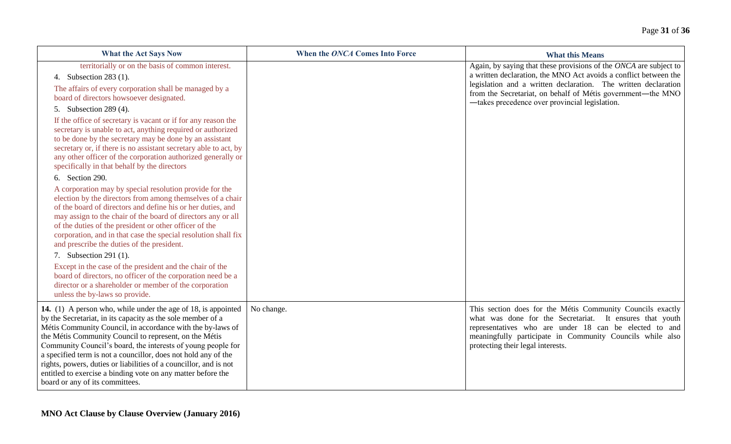| <b>What the Act Says Now</b>                                                                                                                                                                                                                                                                                                                                                                                                                                                                                                                                                                                                                                                                       | When the ONCA Comes Into Force | <b>What this Means</b>                                                                                                                                                                                                                                                                                                   |
|----------------------------------------------------------------------------------------------------------------------------------------------------------------------------------------------------------------------------------------------------------------------------------------------------------------------------------------------------------------------------------------------------------------------------------------------------------------------------------------------------------------------------------------------------------------------------------------------------------------------------------------------------------------------------------------------------|--------------------------------|--------------------------------------------------------------------------------------------------------------------------------------------------------------------------------------------------------------------------------------------------------------------------------------------------------------------------|
| territorially or on the basis of common interest.<br>4. Subsection 283 (1).<br>The affairs of every corporation shall be managed by a<br>board of directors howsoever designated.<br>5. Subsection 289 (4).                                                                                                                                                                                                                                                                                                                                                                                                                                                                                        |                                | Again, by saying that these provisions of the ONCA are subject to<br>a written declaration, the MNO Act avoids a conflict between the<br>legislation and a written declaration. The written declaration<br>from the Secretariat, on behalf of Métis government—the MNO<br>-takes precedence over provincial legislation. |
| If the office of secretary is vacant or if for any reason the<br>secretary is unable to act, anything required or authorized<br>to be done by the secretary may be done by an assistant<br>secretary or, if there is no assistant secretary able to act, by<br>any other officer of the corporation authorized generally or<br>specifically in that behalf by the directors                                                                                                                                                                                                                                                                                                                        |                                |                                                                                                                                                                                                                                                                                                                          |
| 6. Section 290.<br>A corporation may by special resolution provide for the<br>election by the directors from among themselves of a chair<br>of the board of directors and define his or her duties, and<br>may assign to the chair of the board of directors any or all<br>of the duties of the president or other officer of the<br>corporation, and in that case the special resolution shall fix<br>and prescribe the duties of the president.<br>7. Subsection 291 (1).<br>Except in the case of the president and the chair of the<br>board of directors, no officer of the corporation need be a<br>director or a shareholder or member of the corporation<br>unless the by-laws so provide. |                                |                                                                                                                                                                                                                                                                                                                          |
| 14. (1) A person who, while under the age of 18, is appointed<br>by the Secretariat, in its capacity as the sole member of a<br>Métis Community Council, in accordance with the by-laws of<br>the Métis Community Council to represent, on the Métis<br>Community Council's board, the interests of young people for<br>a specified term is not a councillor, does not hold any of the<br>rights, powers, duties or liabilities of a councillor, and is not<br>entitled to exercise a binding vote on any matter before the<br>board or any of its committees.                                                                                                                                     | No change.                     | This section does for the Métis Community Councils exactly<br>what was done for the Secretariat. It ensures that youth<br>representatives who are under 18 can be elected to and<br>meaningfully participate in Community Councils while also<br>protecting their legal interests.                                       |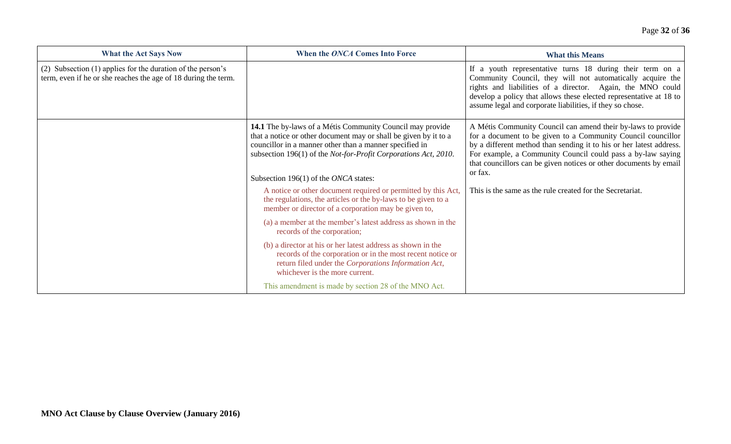| <b>What the Act Says Now</b>                                                                                                  | When the ONCA Comes Into Force                                                                                                                                                                                                                                                                       | <b>What this Means</b>                                                                                                                                                                                                                                                                                                                             |
|-------------------------------------------------------------------------------------------------------------------------------|------------------------------------------------------------------------------------------------------------------------------------------------------------------------------------------------------------------------------------------------------------------------------------------------------|----------------------------------------------------------------------------------------------------------------------------------------------------------------------------------------------------------------------------------------------------------------------------------------------------------------------------------------------------|
| (2) Subsection (1) applies for the duration of the person's<br>term, even if he or she reaches the age of 18 during the term. |                                                                                                                                                                                                                                                                                                      | If a youth representative turns 18 during their term on a<br>Community Council, they will not automatically acquire the<br>rights and liabilities of a director. Again, the MNO could<br>develop a policy that allows these elected representative at 18 to<br>assume legal and corporate liabilities, if they so chose.                           |
|                                                                                                                               | 14.1 The by-laws of a Métis Community Council may provide<br>that a notice or other document may or shall be given by it to a<br>councillor in a manner other than a manner specified in<br>subsection 196(1) of the Not-for-Profit Corporations Act, 2010.<br>Subsection 196(1) of the ONCA states: | A Métis Community Council can amend their by-laws to provide<br>for a document to be given to a Community Council councillor<br>by a different method than sending it to his or her latest address.<br>For example, a Community Council could pass a by-law saying<br>that councillors can be given notices or other documents by email<br>or fax. |
|                                                                                                                               | A notice or other document required or permitted by this Act,<br>the regulations, the articles or the by-laws to be given to a<br>member or director of a corporation may be given to,                                                                                                               | This is the same as the rule created for the Secretariat.                                                                                                                                                                                                                                                                                          |
|                                                                                                                               | (a) a member at the member's latest address as shown in the<br>records of the corporation;                                                                                                                                                                                                           |                                                                                                                                                                                                                                                                                                                                                    |
|                                                                                                                               | (b) a director at his or her latest address as shown in the<br>records of the corporation or in the most recent notice or<br>return filed under the Corporations Information Act,<br>whichever is the more current.                                                                                  |                                                                                                                                                                                                                                                                                                                                                    |
|                                                                                                                               | This amendment is made by section 28 of the MNO Act.                                                                                                                                                                                                                                                 |                                                                                                                                                                                                                                                                                                                                                    |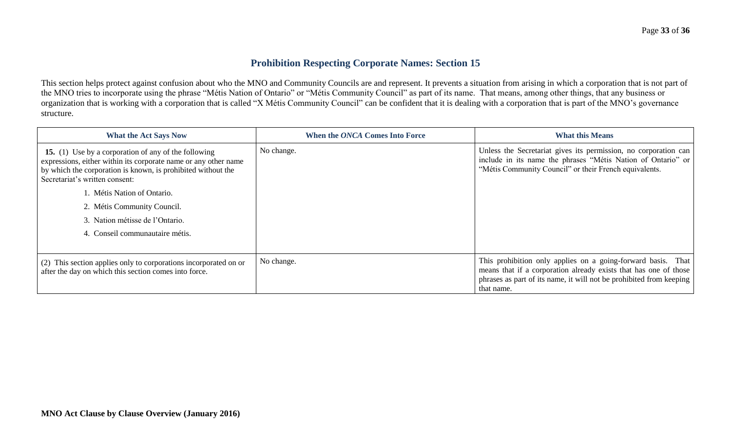## **Prohibition Respecting Corporate Names: Section 15**

This section helps protect against confusion about who the MNO and Community Councils are and represent. It prevents a situation from arising in which a corporation that is not part of the MNO tries to incorporate using the phrase "Métis Nation of Ontario" or "Métis Community Council" as part of its name. That means, among other things, that any business or organization that is working with a corporation that is called "X Métis Community Council" can be confident that it is dealing with a corporation that is part of the MNO's governance structure.

| <b>What the Act Says Now</b>                                                                                                                                                                                                     | When the ONCA Comes Into Force | <b>What this Means</b>                                                                                                                                                                    |
|----------------------------------------------------------------------------------------------------------------------------------------------------------------------------------------------------------------------------------|--------------------------------|-------------------------------------------------------------------------------------------------------------------------------------------------------------------------------------------|
| <b>15.</b> (1) Use by a corporation of any of the following<br>expressions, either within its corporate name or any other name<br>by which the corporation is known, is prohibited without the<br>Secretariat's written consent: | No change.                     | Unless the Secretariat gives its permission, no corporation can<br>include in its name the phrases "Métis Nation of Ontario" or<br>"Métis Community Council" or their French equivalents. |
| . Métis Nation of Ontario.                                                                                                                                                                                                       |                                |                                                                                                                                                                                           |
| 2. Métis Community Council.                                                                                                                                                                                                      |                                |                                                                                                                                                                                           |
| 3. Nation métisse de l'Ontario.                                                                                                                                                                                                  |                                |                                                                                                                                                                                           |
| 4. Conseil communautaire métis.                                                                                                                                                                                                  |                                |                                                                                                                                                                                           |
|                                                                                                                                                                                                                                  | No change.                     | This prohibition only applies on a going-forward basis. That                                                                                                                              |
| (2) This section applies only to corporations incorporated on or<br>after the day on which this section comes into force.                                                                                                        |                                | means that if a corporation already exists that has one of those<br>phrases as part of its name, it will not be prohibited from keeping<br>that name.                                     |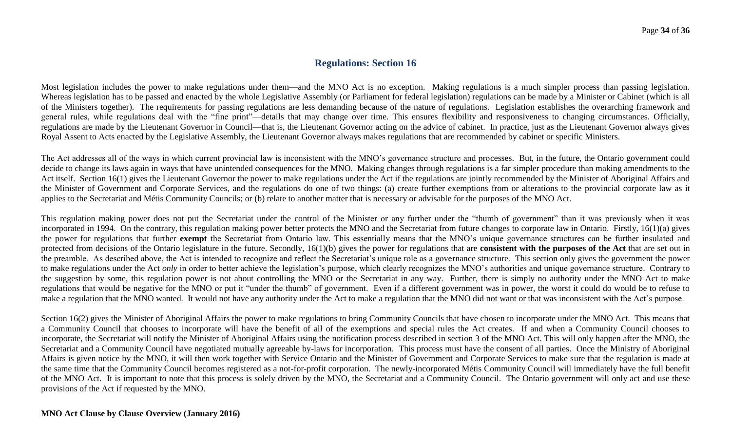## **Regulations: Section 16**

Most legislation includes the power to make regulations under them—and the MNO Act is no exception. Making regulations is a much simpler process than passing legislation. Whereas legislation has to be passed and enacted by the whole Legislative Assembly (or Parliament for federal legislation) regulations can be made by a Minister or Cabinet (which is all of the Ministers together). The requirements for passing regulations are less demanding because of the nature of regulations. Legislation establishes the overarching framework and general rules, while regulations deal with the "fine print"—details that may change over time. This ensures flexibility and responsiveness to changing circumstances. Officially, regulations are made by the Lieutenant Governor in Council—that is, the Lieutenant Governor acting on the advice of cabinet. In practice, just as the Lieutenant Governor always gives Royal Assent to Acts enacted by the Legislative Assembly, the Lieutenant Governor always makes regulations that are recommended by cabinet or specific Ministers.

The Act addresses all of the ways in which current provincial law is inconsistent with the MNO's governance structure and processes. But, in the future, the Ontario government could decide to change its laws again in ways that have unintended consequences for the MNO. Making changes through regulations is a far simpler procedure than making amendments to the Act itself. Section 16(1) gives the Lieutenant Governor the power to make regulations under the Act if the regulations are jointly recommended by the Minister of Aboriginal Affairs and the Minister of Government and Corporate Services, and the regulations do one of two things: (a) create further exemptions from or alterations to the provincial corporate law as it applies to the Secretariat and Métis Community Councils; or (b) relate to another matter that is necessary or advisable for the purposes of the MNO Act.

This regulation making power does not put the Secretariat under the control of the Minister or any further under the "thumb of government" than it was previously when it was incorporated in 1994. On the contrary, this regulation making power better protects the MNO and the Secretariat from future changes to corporate law in Ontario. Firstly, 16(1)(a) gives the power for regulations that further **exempt** the Secretariat from Ontario law. This essentially means that the MNO's unique governance structures can be further insulated and protected from decisions of the Ontario legislature in the future. Secondly, 16(1)(b) gives the power for regulations that are **consistent with the purposes of the Act** that are set out in the preamble. As described above, the Act is intended to recognize and reflect the Secretariat's unique role as a governance structure. This section only gives the government the power to make regulations under the Act *only* in order to better achieve the legislation's purpose, which clearly recognizes the MNO's authorities and unique governance structure. Contrary to the suggestion by some, this regulation power is not about controlling the MNO or the Secretariat in any way. Further, there is simply no authority under the MNO Act to make regulations that would be negative for the MNO or put it "under the thumb" of government. Even if a different government was in power, the worst it could do would be to refuse to make a regulation that the MNO wanted. It would not have any authority under the Act to make a regulation that the MNO did not want or that was inconsistent with the Act's purpose.

Section 16(2) gives the Minister of Aboriginal Affairs the power to make regulations to bring Community Councils that have chosen to incorporate under the MNO Act. This means that a Community Council that chooses to incorporate will have the benefit of all of the exemptions and special rules the Act creates. If and when a Community Council chooses to incorporate, the Secretariat will notify the Minister of Aboriginal Affairs using the notification process described in section 3 of the MNO Act. This will only happen after the MNO, the Secretariat and a Community Council have negotiated mutually agreeable by-laws for incorporation. This process must have the consent of all parties. Once the Ministry of Aboriginal Affairs is given notice by the MNO, it will then work together with Service Ontario and the Minister of Government and Corporate Services to make sure that the regulation is made at the same time that the Community Council becomes registered as a not-for-profit corporation. The newly-incorporated Métis Community Council will immediately have the full benefit of the MNO Act. It is important to note that this process is solely driven by the MNO, the Secretariat and a Community Council. The Ontario government will only act and use these provisions of the Act if requested by the MNO.

#### **MNO Act Clause by Clause Overview (January 2016)**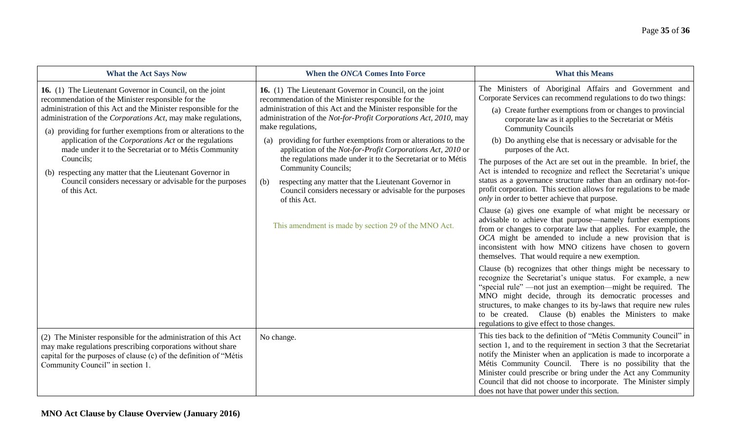| <b>What the Act Says Now</b>                                                                                                                                                                                                                                                                                                                                                                                                                                                                                                                                                                            | When the ONCA Comes Into Force                                                                                                                                                                                                                                                                                                                                                                                                                                                                                                                                                                                                                                                                                     | <b>What this Means</b>                                                                                                                                                                                                                                                                                                                                                                                                                                                                                                                                                                                                                                                                                                                                                                                                                                                                                                                                                                                                                                                                                                                                                                                                                                                                                                                                                                                                                                                                                                              |
|---------------------------------------------------------------------------------------------------------------------------------------------------------------------------------------------------------------------------------------------------------------------------------------------------------------------------------------------------------------------------------------------------------------------------------------------------------------------------------------------------------------------------------------------------------------------------------------------------------|--------------------------------------------------------------------------------------------------------------------------------------------------------------------------------------------------------------------------------------------------------------------------------------------------------------------------------------------------------------------------------------------------------------------------------------------------------------------------------------------------------------------------------------------------------------------------------------------------------------------------------------------------------------------------------------------------------------------|-------------------------------------------------------------------------------------------------------------------------------------------------------------------------------------------------------------------------------------------------------------------------------------------------------------------------------------------------------------------------------------------------------------------------------------------------------------------------------------------------------------------------------------------------------------------------------------------------------------------------------------------------------------------------------------------------------------------------------------------------------------------------------------------------------------------------------------------------------------------------------------------------------------------------------------------------------------------------------------------------------------------------------------------------------------------------------------------------------------------------------------------------------------------------------------------------------------------------------------------------------------------------------------------------------------------------------------------------------------------------------------------------------------------------------------------------------------------------------------------------------------------------------------|
| 16. (1) The Lieutenant Governor in Council, on the joint<br>recommendation of the Minister responsible for the<br>administration of this Act and the Minister responsible for the<br>administration of the Corporations Act, may make regulations,<br>(a) providing for further exemptions from or alterations to the<br>application of the <i>Corporations</i> Act or the regulations<br>made under it to the Secretariat or to Métis Community<br>Councils:<br>(b) respecting any matter that the Lieutenant Governor in<br>Council considers necessary or advisable for the purposes<br>of this Act. | 16. (1) The Lieutenant Governor in Council, on the joint<br>recommendation of the Minister responsible for the<br>administration of this Act and the Minister responsible for the<br>administration of the Not-for-Profit Corporations Act, 2010, may<br>make regulations,<br>providing for further exemptions from or alterations to the<br>(a)<br>application of the Not-for-Profit Corporations Act, 2010 or<br>the regulations made under it to the Secretariat or to Métis<br><b>Community Councils;</b><br>respecting any matter that the Lieutenant Governor in<br>(b)<br>Council considers necessary or advisable for the purposes<br>of this Act.<br>This amendment is made by section 29 of the MNO Act. | The Ministers of Aboriginal Affairs and Government and<br>Corporate Services can recommend regulations to do two things:<br>(a) Create further exemptions from or changes to provincial<br>corporate law as it applies to the Secretariat or Métis<br><b>Community Councils</b><br>(b) Do anything else that is necessary or advisable for the<br>purposes of the Act.<br>The purposes of the Act are set out in the preamble. In brief, the<br>Act is intended to recognize and reflect the Secretariat's unique<br>status as a governance structure rather than an ordinary not-for-<br>profit corporation. This section allows for regulations to be made<br>only in order to better achieve that purpose.<br>Clause (a) gives one example of what might be necessary or<br>advisable to achieve that purpose—namely further exemptions<br>from or changes to corporate law that applies. For example, the<br>OCA might be amended to include a new provision that is<br>inconsistent with how MNO citizens have chosen to govern<br>themselves. That would require a new exemption.<br>Clause (b) recognizes that other things might be necessary to<br>recognize the Secretariat's unique status. For example, a new<br>"special rule" —not just an exemption—might be required. The<br>MNO might decide, through its democratic processes and<br>structures, to make changes to its by-laws that require new rules<br>to be created. Clause (b) enables the Ministers to make<br>regulations to give effect to those changes. |
| (2) The Minister responsible for the administration of this Act<br>may make regulations prescribing corporations without share<br>capital for the purposes of clause (c) of the definition of "Métis<br>Community Council" in section 1.                                                                                                                                                                                                                                                                                                                                                                | No change.                                                                                                                                                                                                                                                                                                                                                                                                                                                                                                                                                                                                                                                                                                         | This ties back to the definition of "Métis Community Council" in<br>section 1, and to the requirement in section 3 that the Secretariat<br>notify the Minister when an application is made to incorporate a<br>Métis Community Council. There is no possibility that the<br>Minister could prescribe or bring under the Act any Community<br>Council that did not choose to incorporate. The Minister simply<br>does not have that power under this section.                                                                                                                                                                                                                                                                                                                                                                                                                                                                                                                                                                                                                                                                                                                                                                                                                                                                                                                                                                                                                                                                        |